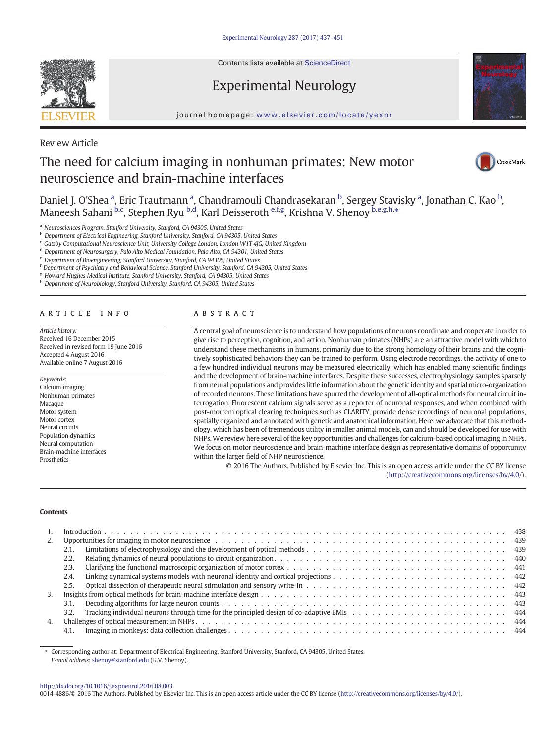Contents lists available at ScienceDirect

# Experimental Neurology



journal homepage: <www.elsevier.com/locate/yexnr>

Review Article

# The need for calcium imaging in nonhuman primates: New motor neuroscience and brain-machine interfaces



Daniel J. O'Shea <sup>a</sup>, Eric Trautmann <sup>a</sup>, Chandramouli Chandrasekaran <sup>b</sup>, Sergey Stavisky <sup>a</sup>, Jonathan C. Kao <sup>b</sup>, Maneesh Sahani <sup>b,c</sup>, Stephen Ryu <sup>b,d</sup>, Karl Deisseroth <sup>e,f,g</sup>, Krishna V. Shenoy <sup>b,e,g,h,</sup>\*

<sup>a</sup> Neurosciences Program, Stanford University, Stanford, CA 94305, United States

**b** Department of Electrical Engineering, Stanford University, Stanford, CA 94305, United States

 $c$  Gatsby Computational Neuroscience Unit, University College London, London W1T 4JG, United Kingdom

<sup>d</sup> Department of Neurosurgery, Palo Alto Medical Foundation, Palo Alto, CA 94301, United States

<sup>e</sup> Department of Bioengineering, Stanford University, Stanford, CA 94305, United States

<sup>f</sup> Department of Psychiatry and Behavioral Science, Stanford University, Stanford, CA 94305, United States

<sup>g</sup> Howard Hughes Medical Institute, Stanford University, Stanford, CA 94305, United States

h Deparment of Neurobiology, Stanford University, Stanford, CA 94305, United States

# ARTICLE INFO ABSTRACT

Article history: Received 16 December 2015 Received in revised form 19 June 2016 Accepted 4 August 2016 Available online 7 August 2016

# Keywords:

Calcium imaging Nonhuman primates Macaque Motor system Motor cortex Neural circuits Population dynamics Neural computation Brain-machine interfaces **Prosthetics** 

A central goal of neuroscience is to understand how populations of neurons coordinate and cooperate in order to give rise to perception, cognition, and action. Nonhuman primates (NHPs) are an attractive model with which to understand these mechanisms in humans, primarily due to the strong homology of their brains and the cognitively sophisticated behaviors they can be trained to perform. Using electrode recordings, the activity of one to a few hundred individual neurons may be measured electrically, which has enabled many scientific findings and the development of brain-machine interfaces. Despite these successes, electrophysiology samples sparsely from neural populations and provides little information about the genetic identity and spatial micro-organization of recorded neurons. These limitations have spurred the development of all-optical methods for neural circuit interrogation. Fluorescent calcium signals serve as a reporter of neuronal responses, and when combined with post-mortem optical clearing techniques such as CLARITY, provide dense recordings of neuronal populations, spatially organized and annotated with genetic and anatomical information. Here, we advocate that this methodology, which has been of tremendous utility in smaller animal models, can and should be developed for use with NHPs.We review here several of the key opportunities and challenges for calcium-based optical imaging in NHPs. We focus on motor neuroscience and brain-machine interface design as representative domains of opportunity within the larger field of NHP neuroscience.

© 2016 The Authors. Published by Elsevier Inc. This is an open access article under the CC BY license [\(http://creativecommons.org/licenses/by/4.0/\)](http://creativecommons.org/licenses/by/4.0/).

#### **Contents**

| 2. |      |  |
|----|------|--|
|    | 2.1. |  |
|    | 2.2. |  |
|    | 2.3. |  |
|    | 2.4  |  |
|    | 2.5. |  |
| 3. |      |  |
|    | 3.1. |  |
|    |      |  |
| 4. |      |  |
|    | 4.1. |  |

⁎ Corresponding author at: Department of Electrical Engineering, Stanford University, Stanford, CA 94305, United States. E-mail address: [shenoy@stanford.edu](mailto:shenoy@stanford.edu) (K.V. Shenoy).

<http://dx.doi.org/10.1016/j.expneurol.2016.08.003>

0014-4886/© 2016 The Authors. Published by Elsevier Inc. This is an open access article under the CC BY license (<http://creativecommons.org/licenses/by/4.0/>).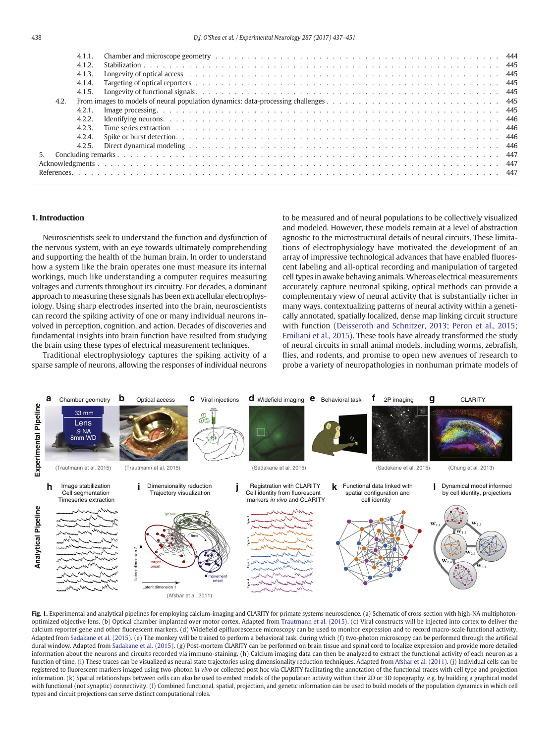<span id="page-1-0"></span>

| 4.1.2. |                                                                                                                                                                                                                                |  |
|--------|--------------------------------------------------------------------------------------------------------------------------------------------------------------------------------------------------------------------------------|--|
| 4.1.3. | Longevity of optical access experience and the content of the content of the content of the content of the content of the content of the content of the content of the content of the content of the content of the content of |  |
| 4.1.4. |                                                                                                                                                                                                                                |  |
| 4.1.5. |                                                                                                                                                                                                                                |  |
| 4.2.   |                                                                                                                                                                                                                                |  |
| 4.2.1. |                                                                                                                                                                                                                                |  |
| 4.2.2. |                                                                                                                                                                                                                                |  |
| 423    |                                                                                                                                                                                                                                |  |
| 4.2.4. |                                                                                                                                                                                                                                |  |
| 4.2.5. |                                                                                                                                                                                                                                |  |
|        |                                                                                                                                                                                                                                |  |
|        |                                                                                                                                                                                                                                |  |
|        |                                                                                                                                                                                                                                |  |
|        |                                                                                                                                                                                                                                |  |

# 1. Introduction

Neuroscientists seek to understand the function and dysfunction of the nervous system, with an eye towards ultimately comprehending and supporting the health of the human brain. In order to understand how a system like the brain operates one must measure its internal workings, much like understanding a computer requires measuring voltages and currents throughout its circuitry. For decades, a dominant approach to measuring these signals has been extracellular electrophysiology. Using sharp electrodes inserted into the brain, neuroscientists can record the spiking activity of one or many individual neurons involved in perception, cognition, and action. Decades of discoveries and fundamental insights into brain function have resulted from studying the brain using these types of electrical measurement techniques.

Traditional electrophysiology captures the spiking activity of a sparse sample of neurons, allowing the responses of individual neurons to be measured and of neural populations to be collectively visualized and modeled. However, these models remain at a level of abstraction agnostic to the microstructural details of neural circuits. These limitations of electrophysiology have motivated the development of an array of impressive technological advances that have enabled fluorescent labeling and all-optical recording and manipulation of targeted cell types in awake behaving animals. Whereas electrical measurements accurately capture neuronal spiking, optical methods can provide a complementary view of neural activity that is substantially richer in many ways, contextualizing patterns of neural activity within a genetically annotated, spatially localized, dense map linking circuit structure with function ([Deisseroth and Schnitzer, 2013; Peron et al., 2015;](#page-11-0) [Emiliani et al., 2015](#page-11-0)). These tools have already transformed the study of neural circuits in small animal models, including worms, zebrafish, flies, and rodents, and promise to open new avenues of research to probe a variety of neuropathologies in nonhuman primate models of



Fig. 1. Experimental and analytical pipelines for employing calcium-imaging and CLARITY for primate systems neuroscience. (a) Schematic of cross-section with high-NA multiphotonoptimized objective lens. (b) Optical chamber implanted over motor cortex. Adapted from [Trautmann et al. \(2015\).](#page-13-0) (c) Viral constructs will be injected into cortex to deliver the calcium reporter gene and other fluorescent markers. (d) Widefield epifluorescence microscopy can be used to monitor expression and to record macro-scale functional activity. Adapted from [Sadakane et al. \(2015\).](#page-13-0) (e) The monkey will be trained to perform a behavioral task, during which (f) two-photon microscopy can be performed through the artificial dural window. Adapted from [Sadakane et al. \(2015\)](#page-13-0). (g) Post-mortem CLARITY can be performed on brain tissue and spinal cord to localize expression and provide more detailed information about the neurons and circuits recorded via immuno-staining. (h) Calcium imaging data can then be analyzed to extract the functional activity of each neuron as a function of time. (i) These traces can be visualized as neural state trajectories using dimensionality reduction techniques. Adapted from [Afshar et al. \(2011\)](#page-10-0). (j) Individual cells can be registered to fluorescent markers imaged using two-photon in vivo or collected post hoc via CLARITY facilitating the annotation of the functional traces with cell type and projection information. (k) Spatial relationships between cells can also be used to embed models of the population activity within their 2D or 3D topography, e.g. by building a graphical model with functional (not synaptic) connectivity. (l) Combined functional, spatial, projection, and genetic information can be used to build models of the population dynamics in which cell types and circuit projections can serve distinct computational roles.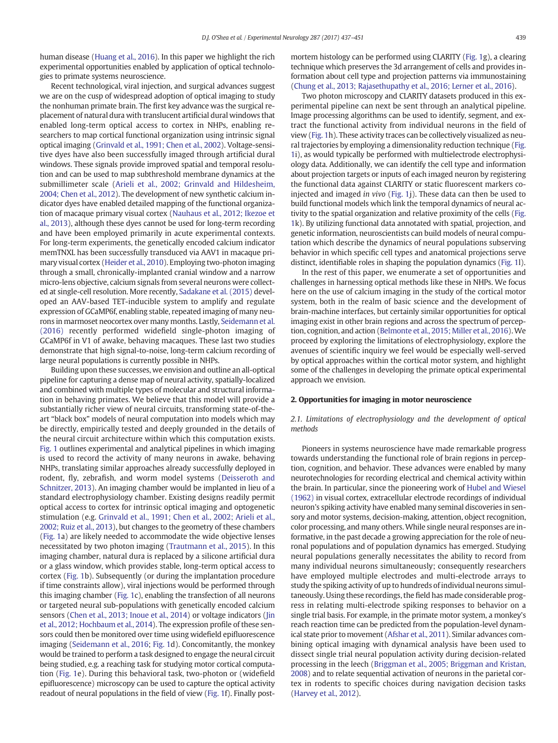human disease [\(Huang et al., 2016](#page-12-0)). In this paper we highlight the rich experimental opportunities enabled by application of optical technologies to primate systems neuroscience.

Recent technological, viral injection, and surgical advances suggest we are on the cusp of widespread adoption of optical imaging to study the nonhuman primate brain. The first key advance was the surgical replacement of natural dura with translucent artificial dural windows that enabled long-term optical access to cortex in NHPs, enabling researchers to map cortical functional organization using intrinsic signal optical imaging [\(Grinvald et al., 1991; Chen et al., 2002\)](#page-11-0). Voltage-sensitive dyes have also been successfully imaged through artificial dural windows. These signals provide improved spatial and temporal resolution and can be used to map subthreshold membrane dynamics at the submillimeter scale [\(Arieli et al., 2002; Grinvald and Hildesheim,](#page-10-0) [2004; Chen et al., 2012\)](#page-10-0). The development of new synthetic calcium indicator dyes have enabled detailed mapping of the functional organization of macaque primary visual cortex [\(Nauhaus et al., 2012; Ikezoe et](#page-12-0) [al., 2013](#page-12-0)), although these dyes cannot be used for long-term recording and have been employed primarily in acute experimental contexts. For long-term experiments, the genetically encoded calcium indicator memTNXL has been successfully transduced via AAV1 in macaque primary visual cortex ([Heider et al., 2010\)](#page-11-0). Employing two-photon imaging through a small, chronically-implanted cranial window and a narrow micro-lens objective, calcium signals from several neurons were collected at single-cell resolution. More recently, [Sadakane et al. \(2015\)](#page-13-0) developed an AAV-based TET-inducible system to amplify and regulate expression of GCaMP6f, enabling stable, repeated imaging of many neurons in marmoset neocortex over many months. Lastly, [Seidemann et al.](#page-13-0) [\(2016\)](#page-13-0) recently performed widefield single-photon imaging of GCaMP6f in V1 of awake, behaving macaques. These last two studies demonstrate that high signal-to-noise, long-term calcium recording of large neural populations is currently possible in NHPs.

Building upon these successes, we envision and outline an all-optical pipeline for capturing a dense map of neural activity, spatially-localized and combined with multiple types of molecular and structural information in behaving primates. We believe that this model will provide a substantially richer view of neural circuits, transforming state-of-theart "black box" models of neural computation into models which may be directly, empirically tested and deeply grounded in the details of the neural circuit architecture within which this computation exists. [Fig. 1](#page-1-0) outlines experimental and analytical pipelines in which imaging is used to record the activity of many neurons in awake, behaving NHPs, translating similar approaches already successfully deployed in rodent, fly, zebrafish, and worm model systems ([Deisseroth and](#page-11-0) [Schnitzer, 2013\)](#page-11-0). An imaging chamber would be implanted in lieu of a standard electrophysiology chamber. Existing designs readily permit optical access to cortex for intrinsic optical imaging and optogenetic stimulation (e.g. [Grinvald et al., 1991; Chen et al., 2002; Arieli et al.,](#page-11-0) [2002; Ruiz et al., 2013](#page-11-0)), but changes to the geometry of these chambers [\(Fig. 1](#page-1-0)a) are likely needed to accommodate the wide objective lenses necessitated by two photon imaging ([Trautmann et al., 2015](#page-13-0)). In this imaging chamber, natural dura is replaced by a silicone artificial dura or a glass window, which provides stable, long-term optical access to cortex [\(Fig. 1](#page-1-0)b). Subsequently (or during the implantation procedure if time constraints allow), viral injections would be performed through this imaging chamber [\(Fig. 1c](#page-1-0)), enabling the transfection of all neurons or targeted neural sub-populations with genetically encoded calcium sensors ([Chen et al., 2013; Inoue et al., 2014\)](#page-11-0) or voltage indicators [\(Jin](#page-12-0) [et al., 2012; Hochbaum et al., 2014\)](#page-12-0). The expression profile of these sensors could then be monitored over time using widefield epifluorescence imaging [\(Seidemann et al., 2016](#page-13-0); [Fig. 1](#page-1-0)d). Concomitantly, the monkey would be trained to perform a task designed to engage the neural circuit being studied, e.g. a reaching task for studying motor cortical computation [\(Fig. 1e](#page-1-0)). During this behavioral task, two-photon or (widefield epifluorescence) microscopy can be used to capture the optical activity readout of neural populations in the field of view ([Fig. 1](#page-1-0)f). Finally postmortem histology can be performed using CLARITY [\(Fig. 1g](#page-1-0)), a clearing technique which preserves the 3d arrangement of cells and provides information about cell type and projection patterns via immunostaining [\(Chung et al., 2013; Rajasethupathy et al., 2016; Lerner et al., 2016](#page-11-0)).

Two photon microscopy and CLARITY datasets produced in this experimental pipeline can next be sent through an analytical pipeline. Image processing algorithms can be used to identify, segment, and extract the functional activity from individual neurons in the field of view ([Fig. 1h](#page-1-0)). These activity traces can be collectively visualized as neural trajectories by employing a dimensionality reduction technique [\(Fig.](#page-1-0) [1i](#page-1-0)), as would typically be performed with multielectrode electrophysiology data. Additionally, we can identify the cell type and information about projection targets or inputs of each imaged neuron by registering the functional data against CLARITY or static fluorescent markers coinjected and imaged in vivo ([Fig. 1](#page-1-0)j). These data can then be used to build functional models which link the temporal dynamics of neural activity to the spatial organization and relative proximity of the cells [\(Fig.](#page-1-0) [1k](#page-1-0)). By utilizing functional data annotated with spatial, projection, and genetic information, neuroscientists can build models of neural computation which describe the dynamics of neural populations subserving behavior in which specific cell types and anatomical projections serve distinct, identifiable roles in shaping the population dynamics [\(Fig. 1l](#page-1-0)).

In the rest of this paper, we enumerate a set of opportunities and challenges in harnessing optical methods like these in NHPs. We focus here on the use of calcium imaging in the study of the cortical motor system, both in the realm of basic science and the development of brain-machine interfaces, but certainly similar opportunities for optical imaging exist in other brain regions and across the spectrum of perception, cognition, and action ([Belmonte et al., 2015; Miller et al., 2016\)](#page-10-0).We proceed by exploring the limitations of electrophysiology, explore the avenues of scientific inquiry we feel would be especially well-served by optical approaches within the cortical motor system, and highlight some of the challenges in developing the primate optical experimental approach we envision.

# 2. Opportunities for imaging in motor neuroscience

2.1. Limitations of electrophysiology and the development of optical methods

Pioneers in systems neuroscience have made remarkable progress towards understanding the functional role of brain regions in perception, cognition, and behavior. These advances were enabled by many neurotechnologies for recording electrical and chemical activity within the brain. In particular, since the pioneering work of [Hubel and Wiesel](#page-12-0) [\(1962\)](#page-12-0) in visual cortex, extracellular electrode recordings of individual neuron's spiking activity have enabled many seminal discoveries in sensory and motor systems, decision-making, attention, object recognition, color processing, and many others.While single neural responses are informative, in the past decade a growing appreciation for the role of neuronal populations and of population dynamics has emerged. Studying neural populations generally necessitates the ability to record from many individual neurons simultaneously; consequently researchers have employed multiple electrodes and multi-electrode arrays to study the spiking activity of up to hundreds of individual neurons simultaneously. Using these recordings, the field has made considerable progress in relating multi-electrode spiking responses to behavior on a single trial basis. For example, in the primate motor system, a monkey's reach reaction time can be predicted from the population-level dynamical state prior to movement [\(Afshar et al., 2011\)](#page-10-0). Similar advances combining optical imaging with dynamical analysis have been used to dissect single trial neural population activity during decision-related processing in the leech [\(Briggman et al., 2005; Briggman and Kristan,](#page-10-0) [2008](#page-10-0)) and to relate sequential activation of neurons in the parietal cortex in rodents to specific choices during navigation decision tasks [\(Harvey et al., 2012](#page-11-0)).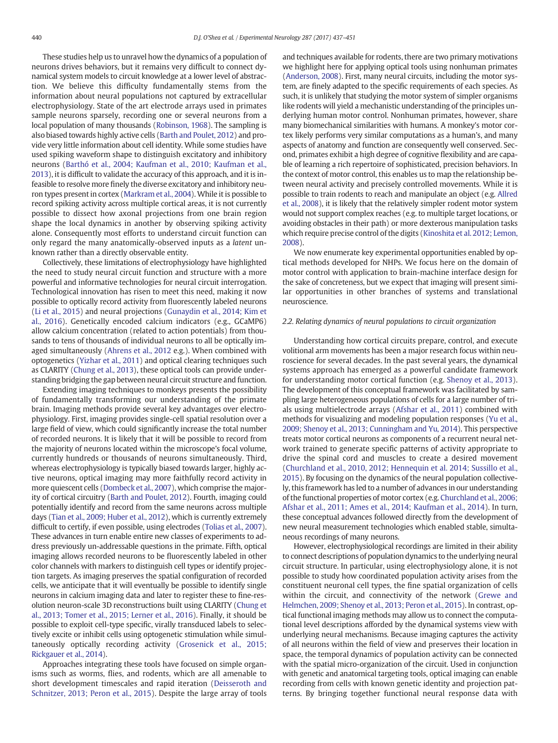These studies help us to unravel how the dynamics of a population of neurons drives behaviors, but it remains very difficult to connect dynamical system models to circuit knowledge at a lower level of abstraction. We believe this difficulty fundamentally stems from the information about neural populations not captured by extracellular electrophysiology. State of the art electrode arrays used in primates sample neurons sparsely, recording one or several neurons from a local population of many thousands ([Robinson, 1968\)](#page-13-0). The sampling is also biased towards highly active cells ([Barth and Poulet, 2012\)](#page-10-0) and provide very little information about cell identity. While some studies have used spiking waveform shape to distinguish excitatory and inhibitory neurons [\(Barthó et al., 2004; Kaufman et al., 2010; Kaufman et al.,](#page-10-0) [2013\)](#page-10-0), it is difficult to validate the accuracy of this approach, and it is infeasible to resolve more finely the diverse excitatory and inhibitory neuron types present in cortex [\(Markram et al., 2004\)](#page-12-0). While it is possible to record spiking activity across multiple cortical areas, it is not currently possible to dissect how axonal projections from one brain region shape the local dynamics in another by observing spiking activity alone. Consequently most efforts to understand circuit function can only regard the many anatomically-observed inputs as a latent unknown rather than a directly observable entity.

Collectively, these limitations of electrophysiology have highlighted the need to study neural circuit function and structure with a more powerful and informative technologies for neural circuit interrogation. Technological innovation has risen to meet this need, making it now possible to optically record activity from fluorescently labeled neurons [\(Li et al., 2015](#page-12-0)) and neural projections ([Gunaydin et al., 2014; Kim et](#page-11-0) [al., 2016](#page-11-0)). Genetically encoded calcium indicators (e.g., GCaMP6) allow calcium concentration (related to action potentials) from thousands to tens of thousands of individual neurons to all be optically imaged simultaneously ([Ahrens et al., 2012](#page-10-0) e.g.). When combined with optogenetics [\(Yizhar et al., 2011](#page-14-0)) and optical clearing techniques such as CLARITY ([Chung et al., 2013](#page-11-0)), these optical tools can provide understanding bridging the gap between neural circuit structure and function.

Extending imaging techniques to monkeys presents the possibility of fundamentally transforming our understanding of the primate brain. Imaging methods provide several key advantages over electrophysiology. First, imaging provides single-cell spatial resolution over a large field of view, which could significantly increase the total number of recorded neurons. It is likely that it will be possible to record from the majority of neurons located within the microscope's focal volume, currently hundreds or thousands of neurons simultaneously. Third, whereas electrophysiology is typically biased towards larger, highly active neurons, optical imaging may more faithfully record activity in more quiescent cells [\(Dombeck et al., 2007\)](#page-11-0), which comprise the majority of cortical circuitry [\(Barth and Poulet, 2012](#page-10-0)). Fourth, imaging could potentially identify and record from the same neurons across multiple days [\(Tian et al., 2009; Huber et al., 2012](#page-13-0)), which is currently extremely difficult to certify, if even possible, using electrodes [\(Tolias et al., 2007\)](#page-13-0). These advances in turn enable entire new classes of experiments to address previously un-addressable questions in the primate. Fifth, optical imaging allows recorded neurons to be fluorescently labeled in other color channels with markers to distinguish cell types or identify projection targets. As imaging preserves the spatial configuration of recorded cells, we anticipate that it will eventually be possible to identify single neurons in calcium imaging data and later to register these to fine-resolution neuron-scale 3D reconstructions built using CLARITY [\(Chung et](#page-11-0) [al., 2013; Tomer et al., 2015; Lerner et al., 2016\)](#page-11-0). Finally, it should be possible to exploit cell-type specific, virally transduced labels to selectively excite or inhibit cells using optogenetic stimulation while simultaneously optically recording activity ([Grosenick et al., 2015;](#page-11-0) [Rickgauer et al., 2014](#page-11-0)).

Approaches integrating these tools have focused on simple organisms such as worms, flies, and rodents, which are all amenable to short development timescales and rapid iteration ([Deisseroth and](#page-11-0) [Schnitzer, 2013; Peron et al., 2015\)](#page-11-0). Despite the large array of tools and techniques available for rodents, there are two primary motivations we highlight here for applying optical tools using nonhuman primates [\(Anderson, 2008](#page-10-0)). First, many neural circuits, including the motor system, are finely adapted to the specific requirements of each species. As such, it is unlikely that studying the motor system of simpler organisms like rodents will yield a mechanistic understanding of the principles underlying human motor control. Nonhuman primates, however, share many biomechanical similarities with humans. A monkey's motor cortex likely performs very similar computations as a human's, and many aspects of anatomy and function are consequently well conserved. Second, primates exhibit a high degree of cognitive flexibility and are capable of learning a rich repertoire of sophisticated, precision behaviors. In the context of motor control, this enables us to map the relationship between neural activity and precisely controlled movements. While it is possible to train rodents to reach and manipulate an object (e.g. [Allred](#page-10-0) [et al., 2008](#page-10-0)), it is likely that the relatively simpler rodent motor system would not support complex reaches (e.g. to multiple target locations, or avoiding obstacles in their path) or more dexterous manipulation tasks which require precise control of the digits [\(Kinoshita et al. 2012; Lemon,](#page-12-0) [2008\)](#page-12-0).

We now enumerate key experimental opportunities enabled by optical methods developed for NHPs. We focus here on the domain of motor control with application to brain-machine interface design for the sake of concreteness, but we expect that imaging will present similar opportunities in other branches of systems and translational neuroscience.

#### 2.2. Relating dynamics of neural populations to circuit organization

Understanding how cortical circuits prepare, control, and execute volitional arm movements has been a major research focus within neuroscience for several decades. In the past several years, the dynamical systems approach has emerged as a powerful candidate framework for understanding motor cortical function (e.g. [Shenoy et al., 2013](#page-13-0)). The development of this conceptual framework was facilitated by sampling large heterogeneous populations of cells for a large number of trials using multielectrode arrays ([Afshar et al., 2011](#page-10-0)) combined with methods for visualizing and modeling population responses [\(Yu et al.,](#page-14-0) [2009; Shenoy et al., 2013; Cunningham and Yu, 2014](#page-14-0)). This perspective treats motor cortical neurons as components of a recurrent neural network trained to generate specific patterns of activity appropriate to drive the spinal cord and muscles to create a desired movement [\(Churchland et al., 2010, 2012; Hennequin et al. 2014; Sussillo et al.,](#page-11-0) [2015\)](#page-11-0). By focusing on the dynamics of the neural population collectively, this framework has led to a number of advances in our understanding of the functional properties of motor cortex (e.g. [Churchland et al., 2006;](#page-11-0) [Afshar et al., 2011; Ames et al., 2014; Kaufman et al., 2014\)](#page-11-0). In turn, these conceptual advances followed directly from the development of new neural measurement technologies which enabled stable, simultaneous recordings of many neurons.

However, electrophysiological recordings are limited in their ability to connect descriptions of population dynamics to the underlying neural circuit structure. In particular, using electrophysiology alone, it is not possible to study how coordinated population activity arises from the constituent neuronal cell types, the fine spatial organization of cells within the circuit, and connectivity of the network ([Grewe and](#page-11-0) [Helmchen, 2009; Shenoy et al., 2013; Peron et al., 2015\)](#page-11-0). In contrast, optical functional imaging methods may allow us to connect the computational level descriptions afforded by the dynamical systems view with underlying neural mechanisms. Because imaging captures the activity of all neurons within the field of view and preserves their location in space, the temporal dynamics of population activity can be connected with the spatial micro-organization of the circuit. Used in conjunction with genetic and anatomical targeting tools, optical imaging can enable recording from cells with known genetic identity and projection patterns. By bringing together functional neural response data with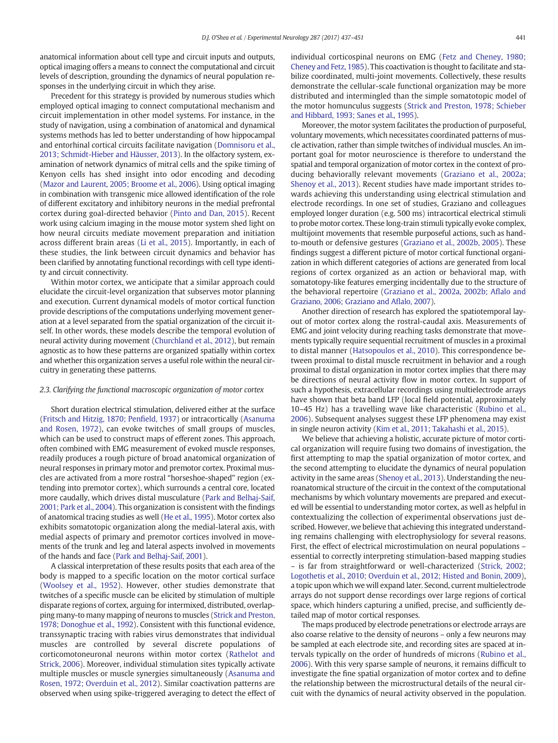anatomical information about cell type and circuit inputs and outputs, optical imaging offers a means to connect the computational and circuit levels of description, grounding the dynamics of neural population responses in the underlying circuit in which they arise.

Precedent for this strategy is provided by numerous studies which employed optical imaging to connect computational mechanism and circuit implementation in other model systems. For instance, in the study of navigation, using a combination of anatomical and dynamical systems methods has led to better understanding of how hippocampal and entorhinal cortical circuits facilitate navigation [\(Domnisoru et al.,](#page-11-0) [2013; Schmidt-Hieber and Häusser, 2013](#page-11-0)). In the olfactory system, examination of network dynamics of mitral cells and the spike timing of Kenyon cells has shed insight into odor encoding and decoding [\(Mazor and Laurent, 2005; Broome et al., 2006\)](#page-12-0). Using optical imaging in combination with transgenic mice allowed identification of the role of different excitatory and inhibitory neurons in the medial prefrontal cortex during goal-directed behavior [\(Pinto and Dan, 2015\)](#page-13-0). Recent work using calcium imaging in the mouse motor system shed light on how neural circuits mediate movement preparation and initiation across different brain areas ([Li et al., 2015](#page-12-0)). Importantly, in each of these studies, the link between circuit dynamics and behavior has been clarified by annotating functional recordings with cell type identity and circuit connectivity.

Within motor cortex, we anticipate that a similar approach could elucidate the circuit-level organization that subserves motor planning and execution. Current dynamical models of motor cortical function provide descriptions of the computations underlying movement generation at a level separated from the spatial organization of the circuit itself. In other words, these models describe the temporal evolution of neural activity during movement [\(Churchland et al., 2012\)](#page-11-0), but remain agnostic as to how these patterns are organized spatially within cortex and whether this organization serves a useful role within the neural circuitry in generating these patterns.

#### 2.3. Clarifying the functional macroscopic organization of motor cortex

Short duration electrical stimulation, delivered either at the surface [\(Fritsch and Hitzig, 1870; Pen](#page-11-0)field, 1937) or intracortically [\(Asanuma](#page-10-0) [and Rosen, 1972](#page-10-0)), can evoke twitches of small groups of muscles, which can be used to construct maps of efferent zones. This approach, often combined with EMG measurement of evoked muscle responses, readily produces a rough picture of broad anatomical organization of neural responses in primary motor and premotor cortex. Proximal muscles are activated from a more rostral "horseshoe-shaped" region (extending into premotor cortex), which surrounds a central core, located more caudally, which drives distal musculature [\(Park and Belhaj-Saif,](#page-13-0) [2001; Park et al., 2004\)](#page-13-0). This organization is consistent with the findings of anatomical tracing studies as well [\(He et al., 1995\)](#page-11-0). Motor cortex also exhibits somatotopic organization along the medial-lateral axis, with medial aspects of primary and premotor cortices involved in movements of the trunk and leg and lateral aspects involved in movements of the hands and face ([Park and Belhaj-Saif, 2001\)](#page-13-0).

A classical interpretation of these results posits that each area of the body is mapped to a specific location on the motor cortical surface [\(Woolsey et al., 1952\)](#page-13-0). However, other studies demonstrate that twitches of a specific muscle can be elicited by stimulation of multiple disparate regions of cortex, arguing for intermixed, distributed, overlapping many-to many mapping of neurons to muscles [\(Strick and Preston,](#page-13-0) [1978; Donoghue et al., 1992](#page-13-0)). Consistent with this functional evidence, transsynaptic tracing with rabies virus demonstrates that individual muscles are controlled by several discrete populations of corticomotoneuronal neurons within motor cortex ([Rathelot and](#page-13-0) [Strick, 2006](#page-13-0)). Moreover, individual stimulation sites typically activate multiple muscles or muscle synergies simultaneously ([Asanuma and](#page-10-0) [Rosen, 1972; Overduin et al., 2012\)](#page-10-0). Similar coactivation patterns are observed when using spike-triggered averaging to detect the effect of individual corticospinal neurons on EMG [\(Fetz and Cheney, 1980;](#page-11-0) [Cheney and Fetz, 1985\)](#page-11-0). This coactivation is thought to facilitate and stabilize coordinated, multi-joint movements. Collectively, these results demonstrate the cellular-scale functional organization may be more distributed and intermingled than the simple somatotopic model of the motor homunculus suggests ([Strick and Preston, 1978; Schieber](#page-13-0) [and Hibbard, 1993; Sanes et al., 1995\)](#page-13-0).

Moreover, the motor system facilitates the production of purposeful, voluntary movements, which necessitates coordinated patterns of muscle activation, rather than simple twitches of individual muscles. An important goal for motor neuroscience is therefore to understand the spatial and temporal organization of motor cortex in the context of producing behaviorally relevant movements [\(Graziano et al., 2002a;](#page-11-0) [Shenoy et al., 2013\)](#page-11-0). Recent studies have made important strides towards achieving this understanding using electrical stimulation and electrode recordings. In one set of studies, Graziano and colleagues employed longer duration (e.g. 500 ms) intracortical electrical stimuli to probe motor cortex. These long-train stimuli typically evoke complex, multijoint movements that resemble purposeful actions, such as handto-mouth or defensive gestures [\(Graziano et al., 2002b, 2005\)](#page-11-0). These findings suggest a different picture of motor cortical functional organization in which different categories of actions are generated from local regions of cortex organized as an action or behavioral map, with somatotopy-like features emerging incidentally due to the structure of the behavioral repertoire ([Graziano et al., 2002a, 2002b; A](#page-11-0)flalo and [Graziano, 2006; Graziano and A](#page-11-0)flalo, 2007).

Another direction of research has explored the spatiotemporal layout of motor cortex along the rostral-caudal axis. Measurements of EMG and joint velocity during reaching tasks demonstrate that movements typically require sequential recruitment of muscles in a proximal to distal manner ([Hatsopoulos et al., 2010](#page-11-0)). This correspondence between proximal to distal muscle recruitment in behavior and a rough proximal to distal organization in motor cortex implies that there may be directions of neural activity flow in motor cortex. In support of such a hypothesis, extracellular recordings using multielectrode arrays have shown that beta band LFP (local field potential, approximately 10–45 Hz) has a travelling wave like characteristic [\(Rubino et al.,](#page-13-0) [2006\)](#page-13-0). Subsequent analyses suggest these LFP phenomena may exist in single neuron activity ([Kim et al., 2011; Takahashi et al., 2015\)](#page-12-0).

We believe that achieving a holistic, accurate picture of motor cortical organization will require fusing two domains of investigation, the first attempting to map the spatial organization of motor cortex, and the second attempting to elucidate the dynamics of neural population activity in the same areas ([Shenoy et al., 2013](#page-13-0)). Understanding the neuroanatomical structure of the circuit in the context of the computational mechanisms by which voluntary movements are prepared and executed will be essential to understanding motor cortex, as well as helpful in contextualizing the collection of experimental observations just described. However, we believe that achieving this integrated understanding remains challenging with electrophysiology for several reasons. First, the effect of electrical microstimulation on neural populations – essential to correctly interpreting stimulation-based mapping studies – is far from straightforward or well-characterized ([Strick, 2002;](#page-13-0) [Logothetis et al., 2010; Overduin et al., 2012; Histed and Bonin, 2009](#page-13-0)), a topic upon which we will expand later. Second, current multielectrode arrays do not support dense recordings over large regions of cortical space, which hinders capturing a unified, precise, and sufficiently detailed map of motor cortical responses.

The maps produced by electrode penetrations or electrode arrays are also coarse relative to the density of neurons – only a few neurons may be sampled at each electrode site, and recording sites are spaced at intervals typically on the order of hundreds of microns [\(Rubino et al.,](#page-13-0) [2006\)](#page-13-0). With this very sparse sample of neurons, it remains difficult to investigate the fine spatial organization of motor cortex and to define the relationship between the microstructural details of the neural circuit with the dynamics of neural activity observed in the population.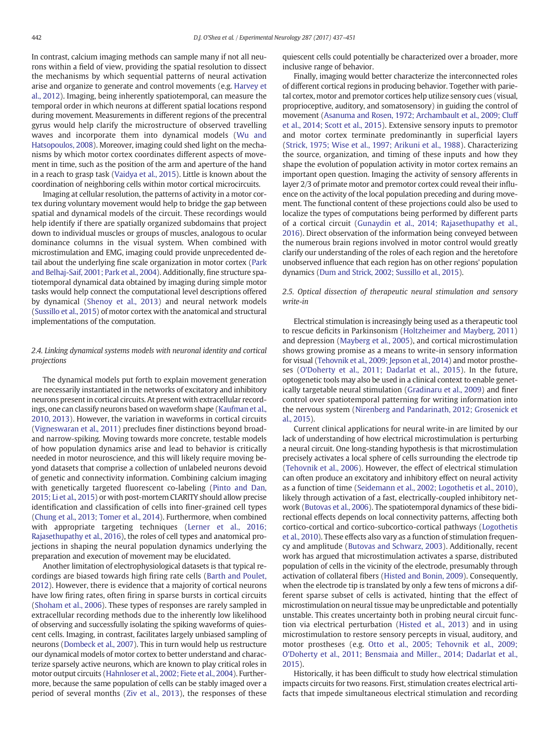In contrast, calcium imaging methods can sample many if not all neurons within a field of view, providing the spatial resolution to dissect the mechanisms by which sequential patterns of neural activation arise and organize to generate and control movements (e.g. [Harvey et](#page-11-0) [al., 2012\)](#page-11-0). Imaging, being inherently spatiotemporal, can measure the temporal order in which neurons at different spatial locations respond during movement. Measurements in different regions of the precentral gyrus would help clarify the microstructure of observed travelling waves and incorporate them into dynamical models ([Wu and](#page-14-0) [Hatsopoulos, 2008](#page-14-0)). Moreover, imaging could shed light on the mechanisms by which motor cortex coordinates different aspects of movement in time, such as the position of the arm and aperture of the hand in a reach to grasp task [\(Vaidya et al., 2015\)](#page-13-0). Little is known about the coordination of neighboring cells within motor cortical microcircuits.

Imaging at cellular resolution, the patterns of activity in a motor cortex during voluntary movement would help to bridge the gap between spatial and dynamical models of the circuit. These recordings would help identify if there are spatially organized subdomains that project down to individual muscles or groups of muscles, analogous to ocular dominance columns in the visual system. When combined with microstimulation and EMG, imaging could provide unprecedented detail about the underlying fine scale organization in motor cortex ([Park](#page-13-0) [and Belhaj-Saif, 2001; Park et al., 2004](#page-13-0)). Additionally, fine structure spatiotemporal dynamical data obtained by imaging during simple motor tasks would help connect the computational level descriptions offered by dynamical ([Shenoy et al., 2013\)](#page-13-0) and neural network models [\(Sussillo et al., 2015\)](#page-13-0) of motor cortex with the anatomical and structural implementations of the computation.

# 2.4. Linking dynamical systems models with neuronal identity and cortical projections

The dynamical models put forth to explain movement generation are necessarily instantiated in the networks of excitatory and inhibitory neurons present in cortical circuits. At present with extracellular recordings, one can classify neurons based on waveform shape [\(Kaufman et al.,](#page-12-0) [2010, 2013](#page-12-0)). However, the variation in waveforms in cortical circuits [\(Vigneswaran et al., 2011\)](#page-13-0) precludes finer distinctions beyond broadand narrow-spiking. Moving towards more concrete, testable models of how population dynamics arise and lead to behavior is critically needed in motor neuroscience, and this will likely require moving beyond datasets that comprise a collection of unlabeled neurons devoid of genetic and connectivity information. Combining calcium imaging with genetically targeted fluorescent co-labeling [\(Pinto and Dan,](#page-13-0) [2015; Li et al., 2015\)](#page-13-0) or with post-mortem CLARITY should allow precise identification and classification of cells into finer-grained cell types [\(Chung et al., 2013; Tomer et al., 2014](#page-11-0)). Furthermore, when combined with appropriate targeting techniques ([Lerner et al., 2016;](#page-12-0) [Rajasethupathy et al., 2016\)](#page-12-0), the roles of cell types and anatomical projections in shaping the neural population dynamics underlying the preparation and execution of movement may be elucidated.

Another limitation of electrophysiological datasets is that typical recordings are biased towards high firing rate cells ([Barth and Poulet,](#page-10-0) [2012\)](#page-10-0). However, there is evidence that a majority of cortical neurons have low firing rates, often firing in sparse bursts in cortical circuits [\(Shoham et al., 2006](#page-13-0)). These types of responses are rarely sampled in extracellular recording methods due to the inherently low likelihood of observing and successfully isolating the spiking waveforms of quiescent cells. Imaging, in contrast, facilitates largely unbiased sampling of neurons [\(Dombeck et al., 2007](#page-11-0)). This in turn would help us restructure our dynamical models of motor cortex to better understand and characterize sparsely active neurons, which are known to play critical roles in motor output circuits [\(Hahnloser et al., 2002; Fiete et al., 2004\)](#page-11-0). Furthermore, because the same population of cells can be stably imaged over a period of several months [\(Ziv et al., 2013\)](#page-14-0), the responses of these

quiescent cells could potentially be characterized over a broader, more inclusive range of behavior.

Finally, imaging would better characterize the interconnected roles of different cortical regions in producing behavior. Together with parietal cortex, motor and premotor cortices help utilize sensory cues (visual, proprioceptive, auditory, and somatosensory) in guiding the control of movement [\(Asanuma and Rosen, 1972; Archambault et al., 2009; Cluff](#page-10-0) [et al., 2014; Scott et al., 2015\)](#page-10-0). Extensive sensory inputs to premotor and motor cortex terminate predominantly in superficial layers [\(Strick, 1975; Wise et al., 1997; Arikuni et al., 1988\)](#page-13-0). Characterizing the source, organization, and timing of these inputs and how they shape the evolution of population activity in motor cortex remains an important open question. Imaging the activity of sensory afferents in layer 2/3 of primate motor and premotor cortex could reveal their influence on the activity of the local population preceding and during movement. The functional content of these projections could also be used to localize the types of computations being performed by different parts of a cortical circuit ([Gunaydin et al., 2014; Rajasethupathy et al.,](#page-11-0) [2016\)](#page-11-0). Direct observation of the information being conveyed between the numerous brain regions involved in motor control would greatly clarify our understanding of the roles of each region and the heretofore unobserved influence that each region has on other regions' population dynamics [\(Dum and Strick, 2002; Sussillo et al., 2015\)](#page-11-0).

# 2.5. Optical dissection of therapeutic neural stimulation and sensory write-in

Electrical stimulation is increasingly being used as a therapeutic tool to rescue deficits in Parkinsonism ([Holtzheimer and Mayberg, 2011](#page-12-0)) and depression [\(Mayberg et al., 2005](#page-12-0)), and cortical microstimulation shows growing promise as a means to write-in sensory information for visual [\(Tehovnik et al., 2009; Jepson et al., 2014\)](#page-13-0) and motor prostheses ([O'Doherty et al., 2011; Dadarlat et al., 2015\)](#page-12-0). In the future, optogenetic tools may also be used in a clinical context to enable genetically targetable neural stimulation [\(Gradinaru et al., 2009](#page-11-0)) and finer control over spatiotemporal patterning for writing information into the nervous system [\(Nirenberg and Pandarinath, 2012; Grosenick et](#page-12-0) [al., 2015](#page-12-0)).

Current clinical applications for neural write-in are limited by our lack of understanding of how electrical microstimulation is perturbing a neural circuit. One long-standing hypothesis is that microstimulation precisely activates a local sphere of cells surrounding the electrode tip [\(Tehovnik et al., 2006\)](#page-13-0). However, the effect of electrical stimulation can often produce an excitatory and inhibitory effect on neural activity as a function of time ([Seidemann et al., 2002; Logothetis et al., 2010](#page-13-0)), likely through activation of a fast, electrically-coupled inhibitory network ([Butovas et al., 2006](#page-11-0)). The spatiotemporal dynamics of these bidirectional effects depends on local connectivity patterns, affecting both cortico-cortical and cortico-subcortico-cortical pathways ([Logothetis](#page-12-0) [et al., 2010](#page-12-0)). These effects also vary as a function of stimulation frequency and amplitude ([Butovas and Schwarz, 2003\)](#page-10-0). Additionally, recent work has argued that microstimulation activates a sparse, distributed population of cells in the vicinity of the electrode, presumably through activation of collateral fibers [\(Histed and Bonin, 2009](#page-12-0)). Consequently, when the electrode tip is translated by only a few tens of microns a different sparse subset of cells is activated, hinting that the effect of microstimulation on neural tissue may be unpredictable and potentially unstable. This creates uncertainty both in probing neural circuit function via electrical perturbation [\(Histed et al., 2013](#page-12-0)) and in using microstimulation to restore sensory percepts in visual, auditory, and motor prostheses (e.g. [Otto et al., 2005; Tehovnik et al., 2009;](#page-12-0) [O'Doherty et al., 2011; Bensmaia and Miller., 2014; Dadarlat et al.,](#page-12-0) [2015\)](#page-12-0).

Historically, it has been difficult to study how electrical stimulation impacts circuits for two reasons. First, stimulation creates electrical artifacts that impede simultaneous electrical stimulation and recording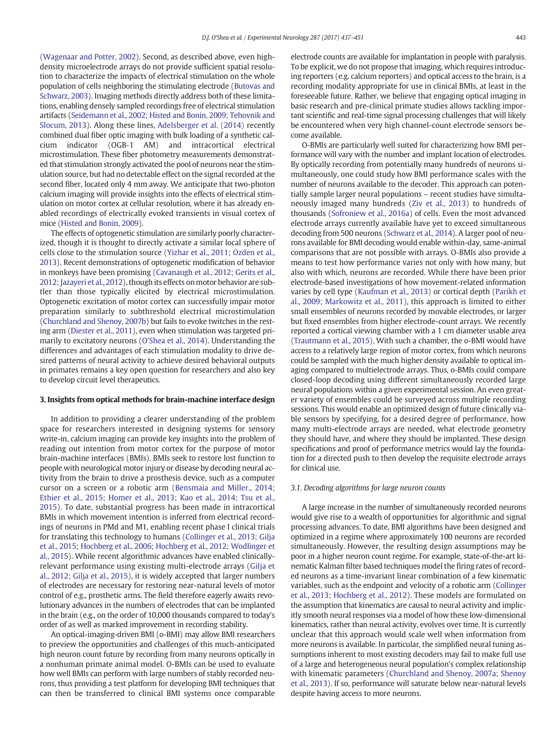[\(Wagenaar and Potter, 2002\)](#page-13-0). Second, as described above, even highdensity microelectrode arrays do not provide sufficient spatial resolution to characterize the impacts of electrical stimulation on the whole population of cells neighboring the stimulating electrode [\(Butovas and](#page-10-0) [Schwarz, 2003\)](#page-10-0). Imaging methods directly address both of these limitations, enabling densely sampled recordings free of electrical stimulation artifacts [\(Seidemann et al., 2002; Histed and Bonin, 2009; Tehovnik and](#page-13-0) [Slocum, 2013](#page-13-0)). Along these lines, [Adelsberger et al. \(2014\)](#page-10-0) recently combined dual fiber optic imaging with bulk loading of a synthetic calcium indicator (OGB-1 AM) and intracortical electrical microstimulation. These fiber photometry measurements demonstrated that stimulation strongly activated the pool of neurons near the stimulation source, but had no detectable effect on the signal recorded at the second fiber, located only 4 mm away. We anticipate that two-photon calcium imaging will provide insights into the effects of electrical stimulation on motor cortex at cellular resolution, where it has already enabled recordings of electrically evoked transients in visual cortex of mice [\(Histed and Bonin, 2009\)](#page-12-0).

The effects of optogenetic stimulation are similarly poorly characterized, though it is thought to directly activate a similar local sphere of cells close to the stimulation source [\(Yizhar et al., 2011; Ozden et al.,](#page-14-0) [2013](#page-14-0)). Recent demonstrations of optogenetic modification of behavior in monkeys have been promising ([Cavanaugh et al., 2012; Gerits et al.,](#page-11-0) [2012; Jazayeri et al., 2012\)](#page-11-0), though its effects on motor behavior are subtler than those typically elicited by electrical microstimulation. Optogenetic excitation of motor cortex can successfully impair motor preparation similarly to subthreshold electrical microstimulation [\(Churchland and Shenoy, 2007b\)](#page-11-0) but fails to evoke twitches in the resting arm ([Diester et al., 2011](#page-11-0)), even when stimulation was targeted primarily to excitatory neurons ([O'Shea et al., 2014](#page-12-0)). Understanding the differences and advantages of each stimulation modality to drive desired patterns of neural activity to achieve desired behavioral outputs in primates remains a key open question for researchers and also key to develop circuit level therapeutics.

#### 3. Insights from optical methods for brain-machine interface design

In addition to providing a clearer understanding of the problem space for researchers interested in designing systems for sensory write-in, calcium imaging can provide key insights into the problem of reading out intention from motor cortex for the purpose of motor brain-machine interfaces (BMIs). BMIs seek to restore lost function to people with neurological motor injury or disease by decoding neural activity from the brain to drive a prosthesis device, such as a computer cursor on a screen or a robotic arm [\(Bensmaia and Miller., 2014;](#page-10-0) [Ethier et al., 2015; Homer et al., 2013; Kao et al., 2014; Tsu et al.,](#page-10-0) [2015\)](#page-10-0). To date, substantial progress has been made in intracortical BMIs in which movement intention is inferred from electrical recordings of neurons in PMd and M1, enabling recent phase I clinical trials for translating this technology to humans [\(Collinger et al., 2013; Gilja](#page-11-0) [et al., 2015; Hochberg et al., 2006; Hochberg et al., 2012; Wodlinger et](#page-11-0) [al., 2015\)](#page-11-0). While recent algorithmic advances have enabled clinicallyrelevant performance using existing multi-electrode arrays [\(Gilja et](#page-11-0) [al., 2012; Gilja et al., 2015\)](#page-11-0), it is widely accepted that larger numbers of electrodes are necessary for restoring near-natural levels of motor control of e.g., prosthetic arms. The field therefore eagerly awaits revolutionary advances in the numbers of electrodes that can be implanted in the brain (e.g., on the order of 10,000 thousands compared to today's order of as well as marked improvement in recording stability.

An optical-imaging-driven BMI (o-BMI) may allow BMI researchers to preview the opportunities and challenges of this much-anticipated high neuron count future by recording from many neurons optically in a nonhuman primate animal model. O-BMIs can be used to evaluate how well BMIs can perform with large numbers of stably recorded neurons, thus providing a test platform for developing BMI techniques that can then be transferred to clinical BMI systems once comparable electrode counts are available for implantation in people with paralysis. To be explicit, we do not propose that imaging, which requires introducing reporters (e.g. calcium reporters) and optical access to the brain, is a recording modality appropriate for use in clinical BMIs, at least in the foreseeable future. Rather, we believe that engaging optical imaging in basic research and pre-clinical primate studies allows tackling important scientific and real-time signal processing challenges that will likely be encountered when very high channel-count electrode sensors become available.

O-BMIs are particularly well suited for characterizing how BMI performance will vary with the number and implant location of electrodes. By optically recording from potentially many hundreds of neurons simultaneously, one could study how BMI performance scales with the number of neurons available to the decoder. This approach can potentially sample larger neural populations – recent studies have simultaneously imaged many hundreds ([Ziv et al., 2013\)](#page-14-0) to hundreds of thousands ([Sofroniew et al., 2016a](#page-13-0)) of cells. Even the most advanced electrode arrays currently available have yet to exceed simultaneous decoding from 500 neurons [\(Schwarz et al., 2014\)](#page-13-0). A larger pool of neurons available for BMI decoding would enable within-day, same-animal comparisons that are not possible with arrays. O-BMIs also provide a means to test how performance varies not only with how many, but also with which, neurons are recorded. While there have been prior electrode-based investigations of how movement-related information varies by cell type [\(Kaufman et al., 2013](#page-12-0)) or cortical depth ([Parikh et](#page-12-0) [al., 2009; Markowitz et al., 2011\)](#page-12-0), this approach is limited to either small ensembles of neurons recorded by movable electrodes, or larger but fixed ensembles from higher electrode-count arrays. We recently reported a cortical viewing chamber with a 1 cm diameter usable area [\(Trautmann et al., 2015\)](#page-13-0). With such a chamber, the o-BMI would have access to a relatively large region of motor cortex, from which neurons could be sampled with the much higher density available to optical imaging compared to multielectrode arrays. Thus, o-BMIs could compare closed-loop decoding using different simultaneously recorded large neural populations within a given experimental session. An even greater variety of ensembles could be surveyed across multiple recording sessions. This would enable an optimized design of future clinically viable sensors by specifying, for a desired degree of performance, how many multi-electrode arrays are needed, what electrode geometry they should have, and where they should be implanted. These design specifications and proof of performance metrics would lay the foundation for a directed push to then develop the requisite electrode arrays for clinical use.

#### 3.1. Decoding algorithms for large neuron counts

A large increase in the number of simultaneously recorded neurons would give rise to a wealth of opportunities for algorithmic and signal processing advances. To date, BMI algorithms have been designed and optimized in a regime where approximately 100 neurons are recorded simultaneously. However, the resulting design assumptions may be poor in a higher neuron count regime. For example, state-of-the-art kinematic Kalman filter based techniques model the firing rates of recorded neurons as a time-invariant linear combination of a few kinematic variables, such as the endpoint and velocity of a robotic arm ([Collinger](#page-11-0) [et al., 2013; Hochberg et al., 2012\)](#page-11-0). These models are formulated on the assumption that kinematics are causal to neural activity and implicitly smooth neural responses via a model of how these low-dimensional kinematics, rather than neural activity, evolves over time. It is currently unclear that this approach would scale well when information from more neurons is available. In particular, the simplified neural tuning assumptions inherent to most existing decoders may fail to make full use of a large and heterogeneous neural population's complex relationship with kinematic parameters ([Churchland and Shenoy, 2007a; Shenoy](#page-11-0) [et al., 2013](#page-11-0)). If so, performance will saturate below near-natural levels despite having access to more neurons.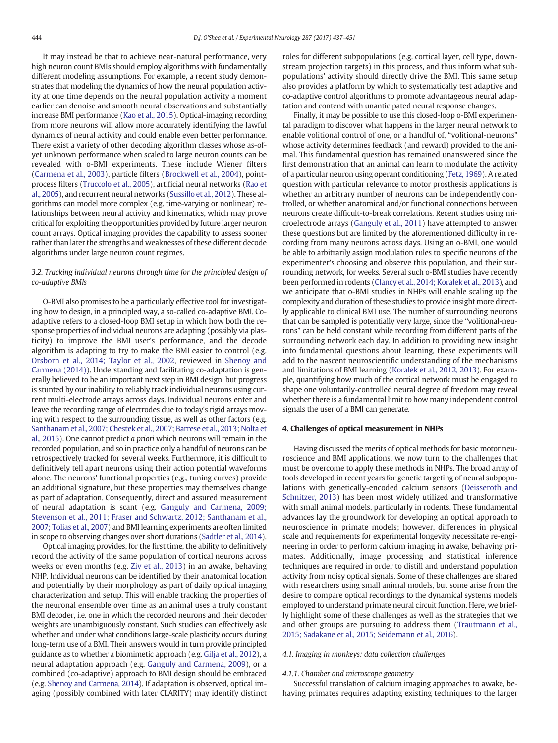It may instead be that to achieve near-natural performance, very high neuron count BMIs should employ algorithms with fundamentally different modeling assumptions. For example, a recent study demonstrates that modeling the dynamics of how the neural population activity at one time depends on the neural population activity a moment earlier can denoise and smooth neural observations and substantially increase BMI performance ([Kao et al., 2015\)](#page-12-0). Optical-imaging recording from more neurons will allow more accurately identifying the lawful dynamics of neural activity and could enable even better performance. There exist a variety of other decoding algorithm classes whose as-ofyet unknown performance when scaled to large neuron counts can be revealed with o-BMI experiments. These include Wiener filters [\(Carmena et al., 2003\)](#page-11-0), particle filters [\(Brockwell et al., 2004\)](#page-10-0), pointprocess filters ([Truccolo et al., 2005\)](#page-13-0), artificial neural networks [\(Rao et](#page-13-0) [al., 2005\)](#page-13-0), and recurrent neural networks [\(Sussillo et al., 2012\)](#page-13-0). These algorithms can model more complex (e.g. time-varying or nonlinear) relationships between neural activity and kinematics, which may prove critical for exploiting the opportunities provided by future larger neuron count arrays. Optical imaging provides the capability to assess sooner rather than later the strengths and weaknesses of these different decode algorithms under large neuron count regimes.

# 3.2. Tracking individual neurons through time for the principled design of co-adaptive BMIs

O-BMI also promises to be a particularly effective tool for investigating how to design, in a principled way, a so-called co-adaptive BMI. Coadaptive refers to a closed-loop BMI setup in which how both the response properties of individual neurons are adapting (possibly via plasticity) to improve the BMI user's performance, and the decode algorithm is adapting to try to make the BMI easier to control (e.g. [Orsborn et al., 2014; Taylor et al., 2002](#page-12-0), reviewed in [Shenoy and](#page-13-0) [Carmena \(2014\)](#page-13-0)). Understanding and facilitating co-adaptation is generally believed to be an important next step in BMI design, but progress is stunted by our inability to reliably track individual neurons using current multi-electrode arrays across days. Individual neurons enter and leave the recording range of electrodes due to today's rigid arrays moving with respect to the surrounding tissue, as well as other factors (e.g. [Santhanam et al., 2007; Chestek et al., 2007; Barrese et al., 2013; Nolta et](#page-13-0) [al., 2015](#page-13-0)). One cannot predict a priori which neurons will remain in the recorded population, and so in practice only a handful of neurons can be retrospectively tracked for several weeks. Furthermore, it is difficult to definitively tell apart neurons using their action potential waveforms alone. The neurons' functional properties (e.g., tuning curves) provide an additional signature, but these properties may themselves change as part of adaptation. Consequently, direct and assured measurement of neural adaptation is scant (e.g. [Ganguly and Carmena, 2009;](#page-11-0) [Stevenson et al., 2011; Fraser and Schwartz, 2012; Santhanam et al.,](#page-11-0) [2007; Tolias et al., 2007\)](#page-11-0) and BMI learning experiments are often limited in scope to observing changes over short durations ([Sadtler et al., 2014\)](#page-13-0).

Optical imaging provides, for the first time, the ability to definitively record the activity of the same population of cortical neurons across weeks or even months (e.g. [Ziv et al., 2013](#page-14-0)) in an awake, behaving NHP. Individual neurons can be identified by their anatomical location and potentially by their morphology as part of daily optical imaging characterization and setup. This will enable tracking the properties of the neuronal ensemble over time as an animal uses a truly constant BMI decoder, i.e. one in which the recorded neurons and their decoder weights are unambiguously constant. Such studies can effectively ask whether and under what conditions large-scale plasticity occurs during long-term use of a BMI. Their answers would in turn provide principled guidance as to whether a biomimetic approach (e.g. [Gilja et al., 2012\)](#page-11-0), a neural adaptation approach (e.g. [Ganguly and Carmena, 2009](#page-11-0)), or a combined (co-adaptive) approach to BMI design should be embraced (e.g. [Shenoy and Carmena, 2014\)](#page-13-0). If adaptation is observed, optical imaging (possibly combined with later CLARITY) may identify distinct roles for different subpopulations (e.g. cortical layer, cell type, downstream projection targets) in this process, and thus inform what subpopulations' activity should directly drive the BMI. This same setup also provides a platform by which to systematically test adaptive and co-adaptive control algorithms to promote advantageous neural adaptation and contend with unanticipated neural response changes.

Finally, it may be possible to use this closed-loop o-BMI experimental paradigm to discover what happens in the larger neural network to enable volitional control of one, or a handful of, "volitional-neurons" whose activity determines feedback (and reward) provided to the animal. This fundamental question has remained unanswered since the first demonstration that an animal can learn to modulate the activity of a particular neuron using operant conditioning ([Fetz, 1969](#page-11-0)). A related question with particular relevance to motor prosthesis applications is whether an arbitrary number of neurons can be independently controlled, or whether anatomical and/or functional connections between neurons create difficult-to-break correlations. Recent studies using microelectrode arrays ([Ganguly et al., 2011\)](#page-11-0) have attempted to answer these questions but are limited by the aforementioned difficulty in recording from many neurons across days. Using an o-BMI, one would be able to arbitrarily assign modulation rules to specific neurons of the experimenter's choosing and observe this population, and their surrounding network, for weeks. Several such o-BMI studies have recently been performed in rodents [\(Clancy et al., 2014; Koralek et al., 2013\)](#page-11-0), and we anticipate that o-BMI studies in NHPs will enable scaling up the complexity and duration of these studies to provide insight more directly applicable to clinical BMI use. The number of surrounding neurons that can be sampled is potentially very large, since the "volitional-neurons" can be held constant while recording from different parts of the surrounding network each day. In addition to providing new insight into fundamental questions about learning, these experiments will add to the nascent neuroscientific understanding of the mechanisms and limitations of BMI learning ([Koralek et al., 2012, 2013\)](#page-12-0). For example, quantifying how much of the cortical network must be engaged to shape one voluntarily-controlled neural degree of freedom may reveal whether there is a fundamental limit to how many independent control signals the user of a BMI can generate.

#### 4. Challenges of optical measurement in NHPs

Having discussed the merits of optical methods for basic motor neuroscience and BMI applications, we now turn to the challenges that must be overcome to apply these methods in NHPs. The broad array of tools developed in recent years for genetic targeting of neural subpopulations with genetically-encoded calcium sensors [\(Deisseroth and](#page-11-0) [Schnitzer, 2013](#page-11-0)) has been most widely utilized and transformative with small animal models, particularly in rodents. These fundamental advances lay the groundwork for developing an optical approach to neuroscience in primate models; however, differences in physical scale and requirements for experimental longevity necessitate re-engineering in order to perform calcium imaging in awake, behaving primates. Additionally, image processing and statistical inference techniques are required in order to distill and understand population activity from noisy optical signals. Some of these challenges are shared with researchers using small animal models, but some arise from the desire to compare optical recordings to the dynamical systems models employed to understand primate neural circuit function. Here, we briefly highlight some of these challenges as well as the strategies that we and other groups are pursuing to address them [\(Trautmann et al.,](#page-13-0) [2015; Sadakane et al., 2015; Seidemann et al., 2016\)](#page-13-0).

# 4.1. Imaging in monkeys: data collection challenges

#### 4.1.1. Chamber and microscope geometry

Successful translation of calcium imaging approaches to awake, behaving primates requires adapting existing techniques to the larger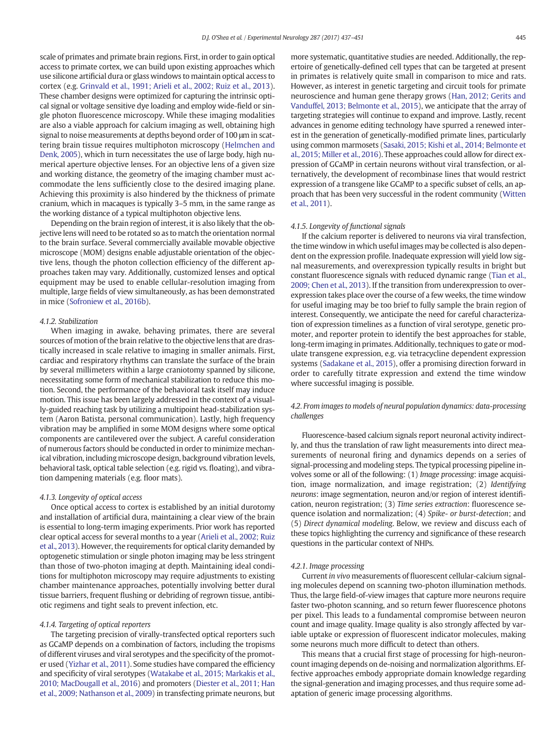scale of primates and primate brain regions. First, in order to gain optical access to primate cortex, we can build upon existing approaches which use silicone artificial dura or glass windows to maintain optical access to cortex (e.g. [Grinvald et al., 1991; Arieli et al., 2002; Ruiz et al., 2013](#page-11-0)). These chamber designs were optimized for capturing the intrinsic optical signal or voltage sensitive dye loading and employ wide-field or single photon fluorescence microscopy. While these imaging modalities are also a viable approach for calcium imaging as well, obtaining high signal to noise measurements at depths beyond order of 100 μm in scattering brain tissue requires multiphoton microscopy [\(Helmchen and](#page-11-0) [Denk, 2005\)](#page-11-0), which in turn necessitates the use of large body, high numerical aperture objective lenses. For an objective lens of a given size and working distance, the geometry of the imaging chamber must accommodate the lens sufficiently close to the desired imaging plane. Achieving this proximity is also hindered by the thickness of primate cranium, which in macaques is typically 3–5 mm, in the same range as the working distance of a typical multiphoton objective lens.

Depending on the brain region of interest, it is also likely that the objective lens will need to be rotated so as to match the orientation normal to the brain surface. Several commercially available movable objective microscope (MOM) designs enable adjustable orientation of the objective lens, though the photon collection efficiency of the different approaches taken may vary. Additionally, customized lenses and optical equipment may be used to enable cellular-resolution imaging from multiple, large fields of view simultaneously, as has been demonstrated in mice [\(Sofroniew et al., 2016b](#page-13-0)).

#### 4.1.2. Stabilization

When imaging in awake, behaving primates, there are several sources of motion of the brain relative to the objective lens that are drastically increased in scale relative to imaging in smaller animals. First, cardiac and respiratory rhythms can translate the surface of the brain by several millimeters within a large craniotomy spanned by silicone, necessitating some form of mechanical stabilization to reduce this motion. Second, the performance of the behavioral task itself may induce motion. This issue has been largely addressed in the context of a visually-guided reaching task by utilizing a multipoint head-stabilization system (Aaron Batista, personal communication). Lastly, high frequency vibration may be amplified in some MOM designs where some optical components are cantilevered over the subject. A careful consideration of numerous factors should be conducted in order to minimize mechanical vibration, including microscope design, background vibration levels, behavioral task, optical table selection (e.g. rigid vs. floating), and vibration dampening materials (e.g. floor mats).

#### 4.1.3. Longevity of optical access

Once optical access to cortex is established by an initial durotomy and installation of artificial dura, maintaining a clear view of the brain is essential to long-term imaging experiments. Prior work has reported clear optical access for several months to a year ([Arieli et al., 2002; Ruiz](#page-10-0) [et al., 2013\)](#page-10-0). However, the requirements for optical clarity demanded by optogenetic stimulation or single photon imaging may be less stringent than those of two-photon imaging at depth. Maintaining ideal conditions for multiphoton microscopy may require adjustments to existing chamber maintenance approaches, potentially involving better dural tissue barriers, frequent flushing or debriding of regrown tissue, antibiotic regimens and tight seals to prevent infection, etc.

# 4.1.4. Targeting of optical reporters

The targeting precision of virally-transfected optical reporters such as GCaMP depends on a combination of factors, including the tropisms of different viruses and viral serotypes and the specificity of the promoter used [\(Yizhar et al., 2011](#page-14-0)). Some studies have compared the efficiency and specificity of viral serotypes ([Watakabe et al., 2015; Markakis et al.,](#page-13-0) [2010; MacDougall et al., 2016\)](#page-13-0) and promoters [\(Diester et al., 2011; Han](#page-11-0) [et al., 2009; Nathanson et al., 2009](#page-11-0)) in transfecting primate neurons, but more systematic, quantitative studies are needed. Additionally, the repertoire of genetically-defined cell types that can be targeted at present in primates is relatively quite small in comparison to mice and rats. However, as interest in genetic targeting and circuit tools for primate neuroscience and human gene therapy grows [\(Han, 2012; Gerits and](#page-11-0) [Vanduffel, 2013; Belmonte et al., 2015](#page-11-0)), we anticipate that the array of targeting strategies will continue to expand and improve. Lastly, recent advances in genome editing technology have spurred a renewed interest in the generation of genetically-modified primate lines, particularly using common marmosets [\(Sasaki, 2015; Kishi et al., 2014; Belmonte et](#page-13-0) [al., 2015; Miller et al., 2016\)](#page-13-0). These approaches could allow for direct expression of GCaMP in certain neurons without viral transfection, or alternatively, the development of recombinase lines that would restrict expression of a transgene like GCaMP to a specific subset of cells, an approach that has been very successful in the rodent community ([Witten](#page-13-0) [et al., 2011](#page-13-0)).

#### 4.1.5. Longevity of functional signals

If the calcium reporter is delivered to neurons via viral transfection, the time window in which useful images may be collected is also dependent on the expression profile. Inadequate expression will yield low signal measurements, and overexpression typically results in bright but constant fluorescence signals with reduced dynamic range [\(Tian et al.,](#page-13-0) [2009; Chen et al., 2013\)](#page-13-0). If the transition from underexpression to overexpression takes place over the course of a few weeks, the time window for useful imaging may be too brief to fully sample the brain region of interest. Consequently, we anticipate the need for careful characterization of expression timelines as a function of viral serotype, genetic promoter, and reporter protein to identify the best approaches for stable, long-term imaging in primates. Additionally, techniques to gate or modulate transgene expression, e.g. via tetracycline dependent expression systems ([Sadakane et al., 2015](#page-13-0)), offer a promising direction forward in order to carefully titrate expression and extend the time window where successful imaging is possible.

# 4.2. From images to models of neural population dynamics: data-processing challenges

Fluorescence-based calcium signals report neuronal activity indirectly, and thus the translation of raw light measurements into direct measurements of neuronal firing and dynamics depends on a series of signal-processing and modeling steps. The typical processing pipeline involves some or all of the following: (1) Image processing: image acquisition, image normalization, and image registration; (2) Identifying neurons: image segmentation, neuron and/or region of interest identification, neuron registration; (3) Time series extraction: fluorescence sequence isolation and normalization; (4) Spike- or burst-detection; and (5) Direct dynamical modeling. Below, we review and discuss each of these topics highlighting the currency and significance of these research questions in the particular context of NHPs.

#### 4.2.1. Image processing

Current in vivo measurements of fluorescent cellular-calcium signaling molecules depend on scanning two-photon illumination methods. Thus, the large field-of-view images that capture more neurons require faster two-photon scanning, and so return fewer fluorescence photons per pixel. This leads to a fundamental compromise between neuron count and image quality. Image quality is also strongly affected by variable uptake or expression of fluorescent indicator molecules, making some neurons much more difficult to detect than others.

This means that a crucial first stage of processing for high-neuroncount imaging depends on de-noising and normalization algorithms. Effective approaches embody appropriate domain knowledge regarding the signal-generation and imaging processes, and thus require some adaptation of generic image processing algorithms.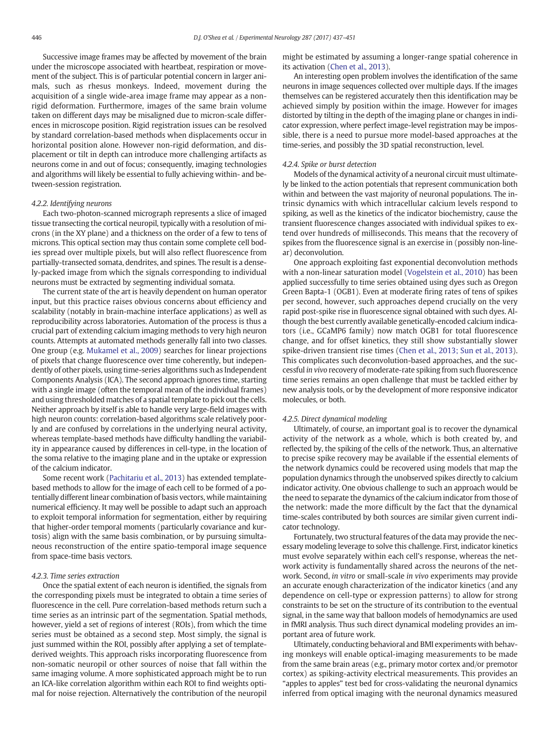Successive image frames may be affected by movement of the brain under the microscope associated with heartbeat, respiration or movement of the subject. This is of particular potential concern in larger animals, such as rhesus monkeys. Indeed, movement during the acquisition of a single wide-area image frame may appear as a nonrigid deformation. Furthermore, images of the same brain volume taken on different days may be misaligned due to micron-scale differences in microscope position. Rigid registration issues can be resolved by standard correlation-based methods when displacements occur in horizontal position alone. However non-rigid deformation, and displacement or tilt in depth can introduce more challenging artifacts as neurons come in and out of focus; consequently, imaging technologies and algorithms will likely be essential to fully achieving within- and between-session registration.

# 4.2.2. Identifying neurons

Each two-photon-scanned micrograph represents a slice of imaged tissue transecting the cortical neuropil, typically with a resolution of microns (in the XY plane) and a thickness on the order of a few to tens of microns. This optical section may thus contain some complete cell bodies spread over multiple pixels, but will also reflect fluorescence from partially-transected somata, dendrites, and spines. The result is a densely-packed image from which the signals corresponding to individual neurons must be extracted by segmenting individual somata.

The current state of the art is heavily dependent on human operator input, but this practice raises obvious concerns about efficiency and scalability (notably in brain-machine interface applications) as well as reproducibility across laboratories. Automation of the process is thus a crucial part of extending calcium imaging methods to very high neuron counts. Attempts at automated methods generally fall into two classes. One group (e.g. [Mukamel et al., 2009](#page-12-0)) searches for linear projections of pixels that change fluorescence over time coherently, but independently of other pixels, using time-series algorithms such as Independent Components Analysis (ICA). The second approach ignores time, starting with a single image (often the temporal mean of the individual frames) and using thresholded matches of a spatial template to pick out the cells. Neither approach by itself is able to handle very large-field images with high neuron counts: correlation-based algorithms scale relatively poorly and are confused by correlations in the underlying neural activity, whereas template-based methods have difficulty handling the variability in appearance caused by differences in cell-type, in the location of the soma relative to the imaging plane and in the uptake or expression of the calcium indicator.

Some recent work ([Pachitariu et al., 2013\)](#page-12-0) has extended templatebased methods to allow for the image of each cell to be formed of a potentially different linear combination of basis vectors, while maintaining numerical efficiency. It may well be possible to adapt such an approach to exploit temporal information for segmentation, either by requiring that higher-order temporal moments (particularly covariance and kurtosis) align with the same basis combination, or by pursuing simultaneous reconstruction of the entire spatio-temporal image sequence from space-time basis vectors.

#### 4.2.3. Time series extraction

Once the spatial extent of each neuron is identified, the signals from the corresponding pixels must be integrated to obtain a time series of fluorescence in the cell. Pure correlation-based methods return such a time series as an intrinsic part of the segmentation. Spatial methods, however, yield a set of regions of interest (ROIs), from which the time series must be obtained as a second step. Most simply, the signal is just summed within the ROI, possibly after applying a set of templatederived weights. This approach risks incorporating fluorescence from non-somatic neuropil or other sources of noise that fall within the same imaging volume. A more sophisticated approach might be to run an ICA-like correlation algorithm within each ROI to find weights optimal for noise rejection. Alternatively the contribution of the neuropil

might be estimated by assuming a longer-range spatial coherence in its activation ([Chen et al., 2013\)](#page-11-0).

An interesting open problem involves the identification of the same neurons in image sequences collected over multiple days. If the images themselves can be registered accurately then this identification may be achieved simply by position within the image. However for images distorted by tilting in the depth of the imaging plane or changes in indicator expression, where perfect image-level registration may be impossible, there is a need to pursue more model-based approaches at the time-series, and possibly the 3D spatial reconstruction, level.

#### 4.2.4. Spike or burst detection

Models of the dynamical activity of a neuronal circuit must ultimately be linked to the action potentials that represent communication both within and between the vast majority of neuronal populations. The intrinsic dynamics with which intracellular calcium levels respond to spiking, as well as the kinetics of the indicator biochemistry, cause the transient fluorescence changes associated with individual spikes to extend over hundreds of milliseconds. This means that the recovery of spikes from the fluorescence signal is an exercise in (possibly non-linear) deconvolution.

One approach exploiting fast exponential deconvolution methods with a non-linear saturation model [\(Vogelstein et al., 2010\)](#page-13-0) has been applied successfully to time series obtained using dyes such as Oregon Green Bapta-1 (OGB1). Even at moderate firing rates of tens of spikes per second, however, such approaches depend crucially on the very rapid post-spike rise in fluorescence signal obtained with such dyes. Although the best currently available genetically-encoded calcium indicators (i.e., GCaMP6 family) now match OGB1 for total fluorescence change, and for offset kinetics, they still show substantially slower spike-driven transient rise times [\(Chen et al., 2013; Sun et al., 2013](#page-11-0)). This complicates such deconvolution-based approaches, and the successful in vivo recovery of moderate-rate spiking from such fluorescence time series remains an open challenge that must be tackled either by new analysis tools, or by the development of more responsive indicator molecules, or both.

# 4.2.5. Direct dynamical modeling

Ultimately, of course, an important goal is to recover the dynamical activity of the network as a whole, which is both created by, and reflected by, the spiking of the cells of the network. Thus, an alternative to precise spike recovery may be available if the essential elements of the network dynamics could be recovered using models that map the population dynamics through the unobserved spikes directly to calcium indicator activity. One obvious challenge to such an approach would be the need to separate the dynamics of the calcium indicator from those of the network: made the more difficult by the fact that the dynamical time-scales contributed by both sources are similar given current indicator technology.

Fortunately, two structural features of the data may provide the necessary modeling leverage to solve this challenge. First, indicator kinetics must evolve separately within each cell's response, whereas the network activity is fundamentally shared across the neurons of the network. Second, in vitro or small-scale in vivo experiments may provide an accurate enough characterization of the indicator kinetics (and any dependence on cell-type or expression patterns) to allow for strong constraints to be set on the structure of its contribution to the eventual signal, in the same way that balloon models of hemodynamics are used in fMRI analysis. Thus such direct dynamical modeling provides an important area of future work.

Ultimately, conducting behavioral and BMI experiments with behaving monkeys will enable optical-imaging measurements to be made from the same brain areas (e.g., primary motor cortex and/or premotor cortex) as spiking-activity electrical measurements. This provides an "apples to apples" test bed for cross-validating the neuronal dynamics inferred from optical imaging with the neuronal dynamics measured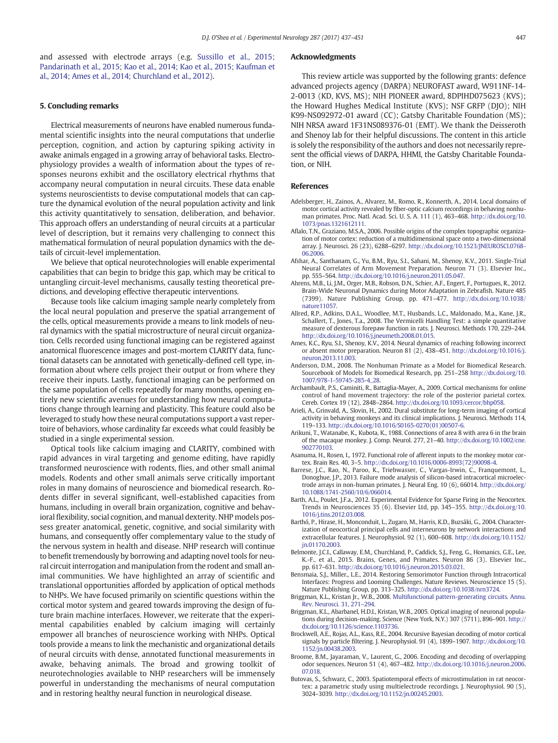<span id="page-10-0"></span>and assessed with electrode arrays (e.g. [Sussillo et al., 2015;](#page-13-0) [Pandarinath et al., 2015; Kao et al., 2014; Kao et al., 2015; Kaufman et](#page-13-0) [al., 2014; Ames et al., 2014; Churchland et al., 2012\)](#page-13-0).

### 5. Concluding remarks

Electrical measurements of neurons have enabled numerous fundamental scientific insights into the neural computations that underlie perception, cognition, and action by capturing spiking activity in awake animals engaged in a growing array of behavioral tasks. Electrophysiology provides a wealth of information about the types of responses neurons exhibit and the oscillatory electrical rhythms that accompany neural computation in neural circuits. These data enable systems neuroscientists to devise computational models that can capture the dynamical evolution of the neural population activity and link this activity quantitatively to sensation, deliberation, and behavior. This approach offers an understanding of neural circuits at a particular level of description, but it remains very challenging to connect this mathematical formulation of neural population dynamics with the details of circuit-level implementation.

We believe that optical neurotechnologies will enable experimental capabilities that can begin to bridge this gap, which may be critical to untangling circuit-level mechanisms, causally testing theoretical predictions, and developing effective therapeutic interventions.

Because tools like calcium imaging sample nearly completely from the local neural population and preserve the spatial arrangement of the cells, optical measurements provide a means to link models of neural dynamics with the spatial microstructure of neural circuit organization. Cells recorded using functional imaging can be registered against anatomical fluorescence images and post-mortem CLARITY data, functional datasets can be annotated with genetically-defined cell type, information about where cells project their output or from where they receive their inputs. Lastly, functional imaging can be performed on the same population of cells repeatedly for many months, opening entirely new scientific avenues for understanding how neural computations change through learning and plasticity. This feature could also be leveraged to study how these neural computations support a vast repertoire of behaviors, whose cardinality far exceeds what could feasibly be studied in a single experimental session.

Optical tools like calcium imaging and CLARITY, combined with rapid advances in viral targeting and genome editing, have rapidly transformed neuroscience with rodents, flies, and other small animal models. Rodents and other small animals serve critically important roles in many domains of neuroscience and biomedical research. Rodents differ in several significant, well-established capacities from humans, including in overall brain organization, cognitive and behavioral flexibility, social cognition, and manual dexterity. NHP models possess greater anatomical, genetic, cognitive, and social similarity with humans, and consequently offer complementary value to the study of the nervous system in health and disease. NHP research will continue to benefit tremendously by borrowing and adapting novel tools for neural circuit interrogation and manipulation from the rodent and small animal communities. We have highlighted an array of scientific and translational opportunities afforded by application of optical methods to NHPs. We have focused primarily on scientific questions within the cortical motor system and geared towards improving the design of future brain machine interfaces. However, we reiterate that the experimental capabilities enabled by calcium imaging will certainly empower all branches of neuroscience working with NHPs. Optical tools provide a means to link the mechanistic and organizational details of neural circuits with dense, annotated functional measurements in awake, behaving animals. The broad and growing toolkit of neurotechnologies available to NHP researchers will be immensely powerful in understanding the mechanisms of neural computation and in restoring healthy neural function in neurological disease.

#### Acknowledgments

This review article was supported by the following grants: defence advanced projects agency (DARPA) NEUROFAST award, W911NF-14- 2-0013 (KD, KVS, MS); NIH PIONEER award, 8DPIHD075623 (KVS); the Howard Hughes Medical Institute (KVS); NSF GRFP (DJO); NIH K99-NS092972-01 award (CC); Gatsby Charitable Foundation (MS); NIH NRSA award 1F31NS089376-01 (EMT). We thank the Deisseroth and Shenoy lab for their helpful discussions. The content in this article is solely the responsibility of the authors and does not necessarily represent the official views of DARPA, HHMI, the Gatsby Charitable Foundation, or NIH.

### References

- Adelsberger, H., Zainos, A., Alvarez, M., Romo, R., Konnerth, A., 2014. Local domains of motor cortical activity revealed by fiber-optic calcium recordings in behaving nonhuman primates. Proc. Natl. Acad. Sci. U. S. A. 111 (1), 463–468. http://dx.doi.org/[10.](http://dx.doi.org/10.1073/pnas.1321612111) [1073/pnas.1321612111](http://dx.doi.org/10.1073/pnas.1321612111).
- Aflalo, T.N., Graziano, M.S.A., 2006. Possible origins of the complex topographic organization of motor cortex: reduction of a multidimensional space onto a two-dimensional array. J. Neurosci. 26 (23), 6288–6297. http://dx.doi.org/[10.1523/JNEUROSCI.0768-](http://dx.doi.org/10.1523/JNEUROSCI.0768-06.2006) [06.2006](http://dx.doi.org/10.1523/JNEUROSCI.0768-06.2006).
- Afshar, A., Santhanam, G., Yu, B.M., Ryu, S.I., Sahani, M., Shenoy, K.V., 2011. Single-Trial Neural Correlates of Arm Movement Preparation. Neuron 71 (3). Elsevier Inc., pp. 555–564. http://dx.doi.org[/10.1016/j.neuron.2011.05.047.](http://dx.doi.org/10.1016/j.neuron.2011.05.047)
- Ahrens, M.B., Li, J.M., Orger, M.B., Robson, D.N., Schier, A.F., Engert, F., Portugues, R., 2012. Brain-Wide Neuronal Dynamics during Motor Adaptation in Zebrafish. Nature 485 (7399). Nature Publishing Group, pp. 471–477. http://dx.doi.org[/10.1038/](http://dx.doi.org/10.1038/nature11057) [nature11057.](http://dx.doi.org/10.1038/nature11057)
- Allred, R.P., Adkins, D.A.L., Woodlee, M.T., Husbands, L.C., Maldonado, M.a., Kane, J.R., Schallert, T., Jones, T.a., 2008. The Vermicelli Handling Test: a simple quantitative measure of dexterous forepaw function in rats. J. Neurosci. Methods 170, 229–244. http://dx.doi.org[/10.1016/j.jneumeth.2008.01.015.](http://dx.doi.org/10.1016/j.jneumeth.2008.01.015)
- Ames, K.C., Ryu, S.I., Shenoy, K.V., 2014. Neural dynamics of reaching following incorrect or absent motor preparation. Neuron 81 (2), 438–451. http://dx.doi.org/[10.1016/j.](http://dx.doi.org/10.1016/j.neuron.2013.11.003) [neuron.2013.11.003.](http://dx.doi.org/10.1016/j.neuron.2013.11.003)
- Anderson, D.M., 2008. The Nonhuman Primate as a Model for Biomedical Research. Sourcebook of Models for Biomedical Research, pp. 251–258 http://dx.doi.org/[10.](http://dx.doi.org/10.1007/978-1-59745-285-4_28) [1007/978-1-59745-285-4\\_28](http://dx.doi.org/10.1007/978-1-59745-285-4_28).
- Archambault, P.S., Caminiti, R., Battaglia-Mayer, A., 2009. Cortical mechanisms for online control of hand movement trajectory: the role of the posterior parietal cortex. Cereb. Cortex 19 (12), 2848–2864. http://dx.doi.org[/10.1093/cercor/bhp058.](http://dx.doi.org/10.1093/cercor/bhp058)
- Arieli, A., Grinvald, A., Slovin, H., 2002. Dural substitute for long-term imaging of cortical activity in behaving monkeys and its clinical implications. J. Neurosci. Methods 114, 119–133. http://dx.doi.org[/10.1016/S0165-0270\(01\)00507-6.](http://dx.doi.org/10.1016/S0165-0270(01)00507-6)
- Arikuni, T., Watanabe, K., Kubota, K., 1988. Connections of area 8 with area 6 in the brain of the macaque monkey. J. Comp. Neurol. 277, 21–40. http://dx.doi.org[/10.1002/cne.](http://dx.doi.org/10.1002/cne.902770103) [902770103](http://dx.doi.org/10.1002/cne.902770103).
- Asanuma, H., Rosen, I., 1972. Functional role of afferent inputs to the monkey motor cortex. Brain Res. 40, 3–5. http://dx.doi.org[/10.1016/0006-8993\(72\)90098-4.](http://dx.doi.org/10.1016/0006-8993(72)90098-4)
- Barrese, J.C., Rao, N., Paroo, K., Triebwasser, C., Vargas-Irwin, C., Franquemont, L., Donoghue, J.P., 2013. Failure mode analysis of silicon-based intracortical microelectrode arrays in non-human primates. J. Neural Eng. 10 (6), 66014. http://dx.doi.org/ [10.1088/1741-2560/10/6/066014.](http://dx.doi.org/10.1088/1741-2560/10/6/066014)
- Barth, A.L., Poulet, J.F.a., 2012. Experimental Evidence for Sparse Firing in the Neocortex. Trends in Neurosciences 35 (6). Elsevier Ltd, pp. 345–355. http://dx.doi.org/[10.](http://dx.doi.org/10.1016/j.tins.2012.03.008) [1016/j.tins.2012.03.008.](http://dx.doi.org/10.1016/j.tins.2012.03.008)
- Barthó, P., Hirase, H., Monconduit, L., Zugaro, M., Harris, K.D., Buzsáki, G., 2004. Characterization of neocortical principal cells and interneurons by network interactions and extracellular features. J. Neurophysiol. 92 (1), 600–608. http://dx.doi.org[/10.1152/](http://dx.doi.org/10.1152/jn.01170.2003) [jn.01170.2003.](http://dx.doi.org/10.1152/jn.01170.2003)
- Belmonte, J.C.I., Callaway, E.M., Churchland, P., Caddick, S.J., Feng, G., Homanics, G.E., Lee, K.-F., et al., 2015. Brains, Genes, and Primates. Neuron 86 (3). Elsevier Inc., pp. 617–631. http://dx.doi.org[/10.1016/j.neuron.2015.03.021.](http://dx.doi.org/10.1016/j.neuron.2015.03.021)
- Bensmaia, S.J., Miller., L.E., 2014. Restoring Sensorimotor Function through Intracortical Interfaces: Progress and Looming Challenges. Nature Reviews. Neuroscience 15 (5). Nature Publishing Group, pp. 313–325. http://dx.doi.org/[10.1038/nrn3724.](http://dx.doi.org/10.1038/nrn3724)
- Briggman, K.L., Kristan Jr., W.B., 2008. [Multifunctional pattern-generating circuits. Annu.](http://refhub.elsevier.com/S0014-4886(16)30233-3/rf0085) [Rev. Neurosci. 31, 271](http://refhub.elsevier.com/S0014-4886(16)30233-3/rf0085)–294.
- Briggman, K.L., Abarbanel, H.D.I., Kristan, W.B., 2005. Optical imaging of neuronal populations during decision-making. Science (New York, N.Y.) 307 (5711), 896–901. http:// dx.doi.org/[10.1126/science.1103736](http://dx.doi.org/10.1126/science.1103736).
- Brockwell, A.E., Rojas, A.L., Kass, R.E., 2004. Recursive Bayesian decoding of motor cortical signals by particle filtering. J. Neurophysiol. 91 (4), 1899–1907. http://dx.doi.org[/10.](http://dx.doi.org/10.1152/jn.00438.2003) [1152/jn.00438.2003](http://dx.doi.org/10.1152/jn.00438.2003).
- Broome, B.M., Jayaraman, V., Laurent, G., 2006. Encoding and decoding of overlapping odor sequences. Neuron 51 (4), 467–482. http://dx.doi.org/[10.1016/j.neuron.2006.](http://dx.doi.org/10.1016/j.neuron.2006.07.018) [07.018.](http://dx.doi.org/10.1016/j.neuron.2006.07.018)
- Butovas, S., Schwarz, C., 2003. Spatiotemporal effects of microstimulation in rat neocortex: a parametric study using multielectrode recordings. J. Neurophysiol. 90 (5), 3024–3039. http://dx.doi.org[/10.1152/jn.00245.2003.](http://dx.doi.org/10.1152/jn.00245.2003)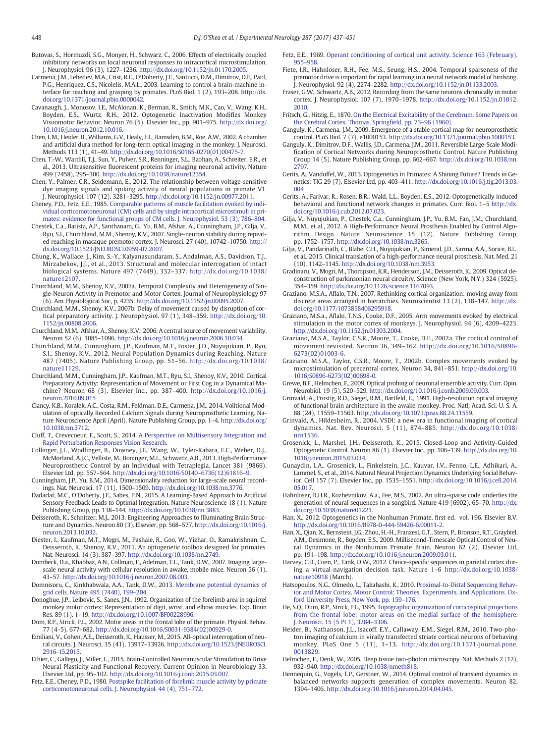- <span id="page-11-0"></span>Butovas, S., Hormuzdi, S.G., Monyer, H., Schwarz, C., 2006. Effects of electrically coupled inhibitory networks on local neuronal responses to intracortical microstimulation. J. Neurophysiol. 96 (3), 1227–1236. http://dx.doi.org[/10.1152/jn.01170.2005.](http://dx.doi.org/10.1152/jn.01170.2005)
- Carmena, J.M., Lebedev, M.A., Crist, R.E., O′Doherty, J.E., Santucci, D.M., Dimitrov, D.F., Patil, P.G., Henriquez, C.S., Nicolelis, M.A.L., 2003. Learning to control a brain-machine interface for reaching and grasping by primates. PLoS Biol. 1 (2), 193–208. http://dx. doi.org/[10.1371/journal.pbio.0000042.](http://dx.doi.org/10.1371/journal.pbio.0000042)
- Cavanaugh, J., Monosov, I.E., McAlonan, K., Berman, R., Smith, M.K., Cao, V., Wang, K.H., Boyden, E.S., Wurtz, R.H., 2012. Optogenetic Inactivation Modifies Monkey Visuomotor Behavior. Neuron 76 (5). Elsevier Inc., pp. 901–975. http://dx.doi.org/ [10.1016/j.neuron.2012.10.016](http://dx.doi.org/10.1016/j.neuron.2012.10.016).
- Chen, L.M., Heider, B., Williams, G.V., Healy, F.L., Ramsden, B.M., Roe, A.W., 2002. A chamber and artificial dura method for long-term optical imaging in the monkey. J. Neurosci. Methods 113 (1), 41–49. http://dx.doi.org/[10.1016/S0165-0270\(01\)00475-7.](http://dx.doi.org/10.1016/S0165-0270(01)00475-7)
- Chen, T.-W., Wardill, T.J., Sun, Y., Pulver, S.R., Renninger, S.L., Baohan, A., Schreiter, E.R., et al., 2013. Ultrasensitive fluorescent proteins for imaging neuronal activity. Nature
- 499 (7458), 295–300. http://dx.doi.org[/10.1038/nature12354](http://dx.doi.org/10.1038/nature12354). Chen, Y., Palmer, C.R., Seidemann, E., 2012. The relationship between voltage-sensitive dye imaging signals and spiking activity of neural populations in primate V1. J. Neurophysiol. 107 (12), 3281–3295. http://dx.doi.org[/10.1152/jn.00977.2011.](http://dx.doi.org/10.1152/jn.00977.2011)
- Cheney, P.D., Fetz, E.E., 1985. [Comparable patterns of muscle facilitation evoked by indi](http://refhub.elsevier.com/S0014-4886(16)30233-3/rf0140)[vidual corticomotoneuronal \(CM\) cells and by single intracortical microstimuli in pri](http://refhub.elsevier.com/S0014-4886(16)30233-3/rf0140)[mates: evidence for functional groups of CM cells. J. Neurophysiol. 53 \(3\), 786](http://refhub.elsevier.com/S0014-4886(16)30233-3/rf0140)–804.
- Chestek, C.a., Batista, A.P., Santhanam, G., Yu, B.M., Afshar, A., Cunningham, J.P., Gilja, V., Ryu, S.I., Churchland, M.M., Shenoy, K.V., 2007. Single-neuron stability during repeated reaching in macaque premotor cortex. J. Neurosci. 27 (40), 10742–10750. http:// dx.doi.org[/10.1523/JNEUROSCI.0959-07.2007.](http://dx.doi.org/10.1523/JNEUROSCI.0959-07.2007)
- Chung, K., Wallace, J., Kim, S.-Y., Kalyanasundaram, S., Andalman, A.S., Davidson, T.J., Mirzabekov, J.J., et al., 2013. Structural and molecular interrogation of intact biological systems. Nature 497 (7449), 332–337. http://dx.doi.org[/10.1038/](http://dx.doi.org/10.1038/nature12107) [nature12107](http://dx.doi.org/10.1038/nature12107).
- Churchland, M.M., Shenoy, K.V., 2007a. Temporal Complexity and Heterogeneity of Single-Neuron Activity in Premotor and Motor Cortex. Journal of Neurophysiology 97 (6). Am Physiological Soc, p. 4235. http://dx.doi.org[/10.1152/jn.00095.2007.](http://dx.doi.org/10.1152/jn.00095.2007)
- Churchland, M.M., Shenoy, K.V., 2007b. Delay of movement caused by disruption of cortical preparatory activity. J. Neurophysiol. 97 (1), 348–359. http://dx.doi.org/[10.](http://dx.doi.org/10.1152/jn.00808.2006) [1152/jn.00808.2006](http://dx.doi.org/10.1152/jn.00808.2006).
- Churchland, M.M., Afshar, A., Shenoy, K.V., 2006. A central source of movement variability. Neuron 52 (6), 1085–1096. http://dx.doi.org[/10.1016/j.neuron.2006.10.034.](http://dx.doi.org/10.1016/j.neuron.2006.10.034)
- Churchland, M.M., Cunningham, J.P., Kaufman, M.T., Foster, J.D., Nuyujukian, P., Ryu, S.I., Shenoy, K.V., 2012. Neural Population Dynamics during Reaching. Nature 487 (7405). Nature Publishing Group, pp. 51–56. http://dx.doi.org[/10.1038/](http://dx.doi.org/10.1038/nature11129) [nature11129](http://dx.doi.org/10.1038/nature11129).
- Churchland, M.M., Cunningham, J.P., Kaufman, M.T., Ryu, S.I., Shenoy, K.V., 2010. Cortical Preparatory Activity: Representation of Movement or First Cog in a Dynamical Machine? Neuron 68 (3). Elsevier Inc., pp. 387–400. http://dx.doi.org[/10.1016/j.](http://dx.doi.org/10.1016/j.neuron.2010.09.015) [neuron.2010.09.015](http://dx.doi.org/10.1016/j.neuron.2010.09.015)
- Clancy, K.B., Koralek, A.C., Costa, R.M., Feldman, D.E., Carmena, J.M., 2014. Volitional Modulation of optically Recorded Calcium Signals during Neuroprosthetic Learning. Nature Neuroscience April (April). Nature Publishing Group, pp. 1–4. http://dx.doi.org/ [10.1038/nn.3712.](http://dx.doi.org/10.1038/nn.3712)
- Cluff, T., Crevecoeur, F., Scott, S., 2014. [A Perspective on Multisensory Integration and](http://refhub.elsevier.com/S0014-4886(16)30233-3/rf0190) [Rapid Perturbation Responses Vision Research](http://refhub.elsevier.com/S0014-4886(16)30233-3/rf0190).
- Collinger, J.L., Wodlinger, B., Downey, J.E., Wang, W., Tyler-Kabara, E.C., Weber, D.J., McMorland, A.J.C., Velliste, M., Boninger, M.L., Schwartz, A.B., 2013. High-Performance Neuroprosthetic Control by an Individual with Tetraplegia. Lancet 381 (9866). Elsevier Ltd, pp. 557–564. http://dx.doi.org/10.1016/S0140–[6736\(12\)61816](http://dx.doi.org/10.1016/S01406736(12)618169)–9.
- Cunningham, J.P., Yu, B.M., 2014. Dimensionality reduction for large-scale neural recordings. Nat. Neurosci. 17 (11), 1500–1509. http://dx.doi.org/[10.1038/nn.3776.](http://dx.doi.org/10.1038/nn.3776)
- Dadarlat, M.C., O′Doherty, J.E., Sabes, P.N., 2015. A Learning-Based Approach to Artificial Sensory Feedback Leads to Optimal Integration. Nature Neuroscience 18 (1). Nature Publishing Group, pp. 138–144. http://dx.doi.org/[10.1038/nn.3883.](http://dx.doi.org/10.1038/nn.3883)
- Deisseroth, K., Schnitzer, M.J., 2013. Engineering Approaches to Illuminating Brain Structure and Dynamics. Neuron 80 (3). Elsevier, pp. 568–577. http://dx.doi.org/[10.1016/j.](http://dx.doi.org/10.1016/j.neuron.2013.10.032) [neuron.2013.10.032](http://dx.doi.org/10.1016/j.neuron.2013.10.032).
- Diester, I., Kaufman, M.T., Mogri, M., Pashaie, R., Goo, W., Yizhar, O., Ramakrishnan, C., Deisseroth, K., Shenoy, K.V., 2011. An optogenetic toolbox designed for primates. Nat. Neurosci. 14 (3), 387–397. http://dx.doi.org[/10.1038/nn.2749](http://dx.doi.org/10.1038/nn.2749).
- Dombeck, D.a., Khabbaz, A.N., Collman, F., Adelman, T.L., Tank, D.W., 2007. Imaging largescale neural activity with cellular resolution in awake, mobile mice. Neuron 56 (1), 43–57. http://dx.doi.org/[10.1016/j.neuron.2007.08.003](http://dx.doi.org/10.1016/j.neuron.2007.08.003).
- Domnisoru, C., Kinkhabwala, A.A., Tank, D.W., 2013. [Membrane potential dynamics of](http://refhub.elsevier.com/S0014-4886(16)30233-3/rf0225) [grid cells. Nature 495 \(7440\), 199](http://refhub.elsevier.com/S0014-4886(16)30233-3/rf0225)–204.
- Donoghue, J.P., Leibovic, S., Sanes, J.N., 1992. Organization of the forelimb area in squirrel monkey motor cortex: Representation of digit, wrist, and elbow muscles. Exp. Brain Res. 89 (1), 1–19. http://dx.doi.org[/10.1007/BF00228996](http://dx.doi.org/10.1007/BF00228996).
- Dum, R.P., Strick, P.L., 2002. Motor areas in the frontal lobe of the primate. Physiol. Behav. 77 (4–5), 677–682. http://dx.doi.org[/10.1016/S0031-9384\(02\)00929-0.](http://dx.doi.org/10.1016/S0031-9384(02)00929-0)
- Emiliani, V., Cohen, A.E., Deisseroth, K., Hausser, M., 2015. All-optical interrogation of neural circuits. J. Neurosci. 35 (41), 13917–13926. http://dx.doi.org[/10.1523/JNEUROSCI.](http://dx.doi.org/10.1523/JNEUROSCI.2916-15.2015) [2916-15.2015](http://dx.doi.org/10.1523/JNEUROSCI.2916-15.2015).
- Ethier, C., Gallego, J., Miller, L., 2015. Brain-Controlled Neuromuscular Stimulation to Drive Neural Plasticity and Functional Recovery. Current Opinion in Neurobiology 33. Elsevier Ltd, pp. 95–102. http://dx.doi.org[/10.1016/j.conb.2015.03.007.](http://dx.doi.org/10.1016/j.conb.2015.03.007)
- Fetz, E.E., Cheney, P.D., 1980. [Postspike facilitation of forelimb muscle activity by primate](http://refhub.elsevier.com/S0014-4886(16)30233-3/rf0250) [corticomotoneuronal cells. J. Neurophysiol. 44 \(4\), 751](http://refhub.elsevier.com/S0014-4886(16)30233-3/rf0250)–772.
- Fetz, E.E., 1969. [Operant conditioning of cortical unit activity. Science 163 \(February\),](http://refhub.elsevier.com/S0014-4886(16)30233-3/rf0255) 955–[958.](http://refhub.elsevier.com/S0014-4886(16)30233-3/rf0255)
- Fiete, I.R., Hahnloser, R.H., Fee, M.S., Seung, H.S., 2004. Temporal sparseness of the premotor drive is important for rapid learning in a neural network model of birdsong. J. Neurophysiol. 92 (4), 2274–2282. http://dx.doi.org[/10.1152/jn.01133.2003.](http://dx.doi.org/10.1152/jn.01133.2003)
- Fraser, G.W., Schwartz, A.B., 2012. Recording from the same neurons chronically in motor cortex. J. Neurophysiol. 107 (7), 1970–1978. http://dx.doi.org[/10.1152/jn.01012.](http://dx.doi.org/10.1152/jn.01012.2010) [2010.](http://dx.doi.org/10.1152/jn.01012.2010)
- Fritsch, G., Hitzig, E., 1870. [On the Electrical Excitability of the Cerebrum. Some Papers on](http://refhub.elsevier.com/S0014-4886(16)30233-3/rf0270) [the Cerebral Cortex. Thomas, Spring](http://refhub.elsevier.com/S0014-4886(16)30233-3/rf0270)field, pp. 73-96 (1960).
- Ganguly, K., Carmena, J.M., 2009. Emergence of a stable cortical map for neuroprosthetic control. PLoS Biol. 7 (7), e1000153. http://dx.doi.org[/10.1371/journal.pbio.1000153](http://dx.doi.org/10.1371/journal.pbio.1000153). Ganguly, K., Dimitrov, D.F., Wallis, J.D., Carmena, J.M., 2011. Reversible Large-Scale Modi-
- fication of Cortical Networks during Neuroprosthetic Control. Nature Publishing Group 14 (5). Nature Publishing Group, pp. 662–667. http://dx.doi.org[/10.1038/nn.](http://dx.doi.org/10.1038/nn.2797) [2797.](http://dx.doi.org/10.1038/nn.2797)
- Gerits, A., Vanduffel, W., 2013. Optogenetics in Primates: A Shining Future? Trends in Genetics: TIG 29 (7). Elsevier Ltd, pp. 403–411. http://dx.doi.org/[10.1016/j.tig.2013.03.](http://dx.doi.org/10.1016/j.tig.2013.03.004)  $0<sub>0</sub>4$
- Gerits, A., Farivar, R., Rosen, B.R., Wald, L.L., Boyden, E.S., 2012. Optogenetically induced behavioral and functional network changes in primates. Curr. Biol. 1–5 http://dx. doi.org/[10.1016/j.cub.2012.07.023.](http://dx.doi.org/10.1016/j.cub.2012.07.023)
- Gilja, V., Nuyujukian, P., Chestek, C.a., Cunningham, J.P., Yu, B.M., Fan, J.M., Churchland, M.M., et al., 2012. A High-Performance Neural Prosthesis Enabled by Control Algorithm Design. Nature Neuroscience 15 (12). Nature Publishing Group, pp. 1752–1757. http://dx.doi.org[/10.1038/nn.3265](http://dx.doi.org/10.1038/nn.3265).
- Gilja, V., Pandarinath, C., Blabe, C.H., Nuyujukian, P., Simeral, J.D., Sarma, A.A., Sorice, B.L., et al., 2015. Clinical translation of a high-performance neural prosthesis. Nat. Med. 21 (10), 1142–1145. http://dx.doi.org/[10.1038/nm.3953.](http://dx.doi.org/10.1038/nm.3953)
- Gradinaru, V., Mogri, M., Thompson, K.R., Henderson, J.M., Deisseroth, K., 2009. Optical deconstruction of parkinsonian neural circuitry. Science (New York, N.Y.) 324 (5925), 354–359. http://dx.doi.org/[10.1126/science.1167093](http://dx.doi.org/10.1126/science.1167093).
- Graziano, M.S.A., Aflalo, T.N., 2007. Rethinking cortical organization: moving away from discrete areas arranged in hierarchies. Neuroscientist 13 (2), 138–147. http://dx. doi.org/[10.1177/1073858406295918](http://dx.doi.org/10.1177/1073858406295918).
- Graziano, M.S.a., Aflalo, T.N.S., Cooke, D.F., 2005. Arm movements evoked by electrical stimulation in the motor cortex of monkeys. J. Neurophysiol. 94 (6), 4209–4223. http://dx.doi.org[/10.1152/jn.01303.2004.](http://dx.doi.org/10.1152/jn.01303.2004)
- Graziano, M.S.A., Taylor, C.S.R., Moore, T., Cooke, D.F., 2002a. The cortical control of movement revisited. Neuron 36, 349–362. http://dx.doi.org[/10.1016/S0896-](http://dx.doi.org/10.1016/S0896-6273(02)01003-6) [6273\(02\)01003-6](http://dx.doi.org/10.1016/S0896-6273(02)01003-6).
- Graziano, M.S.A., Taylor, C.S.R., Moore, T., 2002b. Complex movements evoked by microstimulation of precentral cortex. Neuron 34, 841–851. http://dx.doi.org/[10.](http://dx.doi.org/10.1016/S0896-6273(02)00698-0) [1016/S0896-6273\(02\)00698-0.](http://dx.doi.org/10.1016/S0896-6273(02)00698-0)
- Grewe, B.F., Helmchen, F., 2009. Optical probing of neuronal ensemble activity. Curr. Opin. Neurobiol. 19 (5), 520–529. http://dx.doi.org[/10.1016/j.conb.2009.09.003](http://dx.doi.org/10.1016/j.conb.2009.09.003).
- Grinvald, A., Frostig, R.D., Siegel, R.M., Bartfeld, E., 1991. High-resolution optical imaging of functional brain architecture in the awake monkey. Proc. Natl. Acad. Sci. U. S. A. 88 (24), 11559–11563. http://dx.doi.org/[10.1073/pnas.88.24.11559](http://dx.doi.org/10.1073/pnas.88.24.11559).
- Grinvald, A., Hildesheim, R., 2004. VSDI: a new era in functional imaging of cortical dynamics. Nat. Rev. Neurosci. 5 (11), 874–885. http://dx.doi.org[/10.1038/](http://dx.doi.org/10.1038/nrn1536) [nrn1536](http://dx.doi.org/10.1038/nrn1536).
- Grosenick, L., Marshel, J.H., Deisseroth, K., 2015. Closed-Loop and Activity-Guided Optogenetic Control. Neuron 86 (1). Elsevier Inc., pp. 106–139. http://dx.doi.org[/10.](http://dx.doi.org/10.1016/j.neuron.2015.03.034) [1016/j.neuron.2015.03.034.](http://dx.doi.org/10.1016/j.neuron.2015.03.034)
- Gunaydin, L.A., Grosenick, L., Finkelstein, J.C., Kauvar, I.V., Fenno, L.E., Adhikari, A., Lammel, S., et al., 2014. Natural Neural Projection Dynamics Underlying Social Behavior. Cell 157 (7). Elsevier Inc., pp. 1535–1551. http://dx.doi.org[/10.1016/j.cell.2014.](http://dx.doi.org/10.1016/j.cell.2014.05.017) [05.017.](http://dx.doi.org/10.1016/j.cell.2014.05.017)
- Hahnloser, R.H.R., Kozhevnikov, A.a., Fee, M.S., 2002. An ultra-sparse code underlies the generation of neural sequences in a songbird. Nature 419 (6902), 65–70. http://dx. doi.org/[10.1038/nature01221.](http://dx.doi.org/10.1038/nature01221)
- Han, X., 2012. Optogenetics in the Nonhuman Primate. first ed. vol. 196. Elsevier B.V. http://dx.doi.org[/10.1016/B978-0-444-59426-6.00011-2](http://dx.doi.org/10.1016/B978-0-444-59426-6.00011-2).
- Han, X., Qian, X., Bernstein, J.G., Zhou, H.-H., Franzesi, G.T., Stern, P., Bronson, R.T., Graybiel, A.M., Desimone, R., Boyden, E.S., 2009. Millisecond-Timescale Optical Control of Neural Dynamics in the Nonhuman Primate Brain. Neuron 62 (2). Elsevier Ltd, pp. 191–198. http://dx.doi.org[/10.1016/j.neuron.2009.03.011.](http://dx.doi.org/10.1016/j.neuron.2009.03.011)
- Harvey, C.D., Coen, P., Tank, D.W., 2012. Choice-specific sequences in parietal cortex during a virtual-navigation decision task. Nature 1–6 http://dx.doi.org/[10.1038/](http://dx.doi.org/10.1038/nature10918) [nature10918](http://dx.doi.org/10.1038/nature10918) (March).
- Hatsopoulos, N.G., Olmedo, L., Takahashi, K., 2010. [Proximal-to-Distal Sequencing Behav](http://refhub.elsevier.com/S0014-4886(16)30233-3/rf0375)[ior and Motor Cortex. Motor Control: Theories, Experiments, and Applications. Ox](http://refhub.elsevier.com/S0014-4886(16)30233-3/rf0375)[ford University Press, New York, pp. 159](http://refhub.elsevier.com/S0014-4886(16)30233-3/rf0375)–176.
- He, S.Q., Dum, R.P., Strick, P.L., 1995. [Topographic organization of corticospinal projections](http://refhub.elsevier.com/S0014-4886(16)30233-3/rf0380) [from the frontal lobe: motor areas on the medial surface of the hemisphere.](http://refhub.elsevier.com/S0014-4886(16)30233-3/rf0380) [J. Neurosci. 15 \(5 Pt 1\), 3284](http://refhub.elsevier.com/S0014-4886(16)30233-3/rf0380)–3306.
- Heider, B., Nathanson, J.L., Isacoff, E.Y., Callaway, E.M., Siegel, R.M., 2010. Two-photon imaging of calcium in virally transfected striate cortical neurons of behaving monkey. PLoS One 5 (11), 1–13. http://dx.doi.org/[10.1371/journal.pone.](http://dx.doi.org/10.1371/journal.pone.0013829) [0013829.](http://dx.doi.org/10.1371/journal.pone.0013829)
- Helmchen, F., Denk, W., 2005. Deep tissue two-photon microscopy. Nat. Methods 2 (12), 932–940. http://dx.doi.org/[10.1038/nmeth818.](http://dx.doi.org/10.1038/nmeth818)
- Hennequin, G., Vogels, T.P., Gerstner, W., 2014. Optimal control of transient dynamics in balanced networks supports generation of complex movements. Neuron 82, 1394–1406. http://dx.doi.org/[10.1016/j.neuron.2014.04.045](http://dx.doi.org/10.1016/j.neuron.2014.04.045).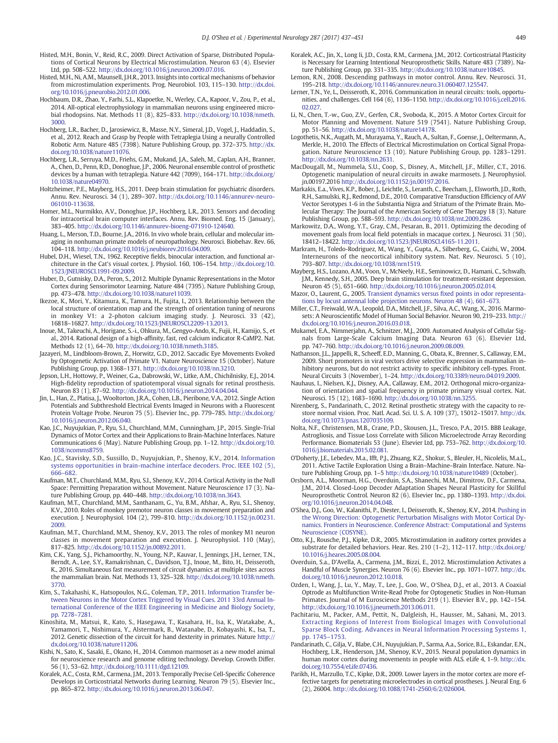- <span id="page-12-0"></span>Histed, M.H., Bonin, V., Reid, R.C., 2009. Direct Activation of Sparse, Distributed Populations of Cortical Neurons by Electrical Microstimulation. Neuron 63 (4). Elsevier Ltd, pp. 508–522. http://dx.doi.org[/10.1016/j.neuron.2009.07.016.](http://dx.doi.org/10.1016/j.neuron.2009.07.016)
- Histed, M.H., Ni, A.M., Maunsell, J.H.R., 2013. Insights into cortical mechanisms of behavior from microstimulation experiments. Prog. Neurobiol. 103, 115–130. http://dx.doi. org[/10.1016/j.pneurobio.2012.01.006](http://dx.doi.org/10.1016/j.pneurobio.2012.01.006).
- Hochbaum, D.R., Zhao, Y., Farhi, S.L., Klapoetke, N., Werley, C.A., Kapoor, V., Zou, P., et al., 2014. All-optical electrophysiology in mammalian neurons using engineered microbial rhodopsins. Nat. Methods 11 (8), 825–833. http://dx.doi.org/[10.1038/nmeth.](http://dx.doi.org/10.1038/nmeth.3000) [3000.](http://dx.doi.org/10.1038/nmeth.3000)
- Hochberg, L.R., Bacher, D., Jarosiewicz, B., Masse, N.Y., Simeral, J.D., Vogel, J., Haddadin, S., et al., 2012. Reach and Grasp by People with Tetraplegia Using a neurally Controlled Robotic Arm. Nature 485 (7398). Nature Publishing Group, pp. 372–375. http://dx. doi.org[/10.1038/nature11076.](http://dx.doi.org/10.1038/nature11076)
- Hochberg, L.R., Serruya, M.D., Friehs, G.M., Mukand, J.A., Saleh, M., Caplan, A.H., Branner, A., Chen, D., Penn, R.D., Donoghue, J.P., 2006. Neuronal ensemble control of prosthetic devices by a human with tetraplegia. Nature 442 (7099), 164–171. http://dx.doi.org/ [10.1038/nature04970.](http://dx.doi.org/10.1038/nature04970)
- Holtzheimer, P.E., Mayberg, H.S., 2011. Deep brain stimulation for psychiatric disorders. Annu. Rev. Neurosci. 34 (1), 289–307. http://dx.doi.org/[10.1146/annurev-neuro-](http://dx.doi.org/10.1146/annurev-neuro-061010-113638)[061010-113638.](http://dx.doi.org/10.1146/annurev-neuro-061010-113638)
- Homer, M.L., Nurmikko, A.V., Donoghue, J.P., Hochberg, L.R., 2013. Sensors and decoding for intracortical brain computer interfaces. Annu. Rev. Biomed. Eng. 15 (January), 383–405. http://dx.doi.org[/10.1146/annurev-bioeng-071910-124640](http://dx.doi.org/10.1146/annurev-bioeng-071910-124640).
- Huang, L., Merson, T.D., Bourne, J.A., 2016. In vivo whole brain, cellular and molecular imaging in nonhuman primate models of neuropathology. Neurosci. Biobehav. Rev. 66, 104–118. http://dx.doi.org[/10.1016/j.neubiorev.2016.04.009](http://dx.doi.org/10.1016/j.neubiorev.2016.04.009).
- Hubel, D.H., Wiesel, T.N., 1962. Receptive fields, binocular interaction, and functional architecture in the Cat's visual cortex. J. Physiol. 160, 106–154. http://dx.doi.org/[10.](http://dx.doi.org/10.1523/JNEUROSCI.1991-09.2009) [1523/JNEUROSCI.1991-09.2009.](http://dx.doi.org/10.1523/JNEUROSCI.1991-09.2009)
- Huber, D., Gutnisky, D.A., Peron, S., 2012. Multiple Dynamic Representations in the Motor Cortex during Sensorimotor Learning. Nature 484 (7395). Nature Publishing Group, pp. 473–478. http://dx.doi.org[/10.1038/nature11039](http://dx.doi.org/10.1038/nature11039).
- Ikezoe, K., Mori, Y., Kitamura, K., Tamura, H., Fujita, I., 2013. Relationship between the local structure of orientation map and the strength of orientation tuning of neurons in monkey V1: a 2-photon calcium imaging study. J. Neurosci. 33 (42), 16818–16827. http://dx.doi.org/[10.1523/JNEUROSCI.2209-13.2013.](http://dx.doi.org/10.1523/JNEUROSCI.2209-13.2013)
- Inoue, M., Takeuchi, A., Horigane, S.-i., Ohkura, M., Gengyo-Ando, K., Fujii, H., Kamijo, S., et al., 2014. Rational design of a high-affinity, fast, red calcium indicator R-CaMP2. Nat. Methods 12 (1), 64–70. http://dx.doi.org[/10.1038/nmeth.3185.](http://dx.doi.org/10.1038/nmeth.3185)
- Jazayeri, M., Lindbloom-Brown, Z., Horwitz, G.D., 2012. Saccadic Eye Movements Evoked by Optogenetic Activation of Primate V1. Nature Neuroscience 15 (October). Nature Publishing Group, pp. 1368–1371. http://dx.doi.org/[10.1038/nn.3210.](http://dx.doi.org/10.1038/nn.3210)
- Jepson, L.H., Hottowy, P., Weiner, G.a., Dabrowski, W., Litke, A.M., Chichilnisky, E.J., 2014. High-fidelity reproduction of spatiotemporal visual signals for retinal prosthesis. Neuron 83 (1), 87–92. http://dx.doi.org/[10.1016/j.neuron.2014.04.044](http://dx.doi.org/10.1016/j.neuron.2014.04.044).
- Jin, L., Han, Z., Platisa, J., Wooltorton, J.R.A., Cohen, L.B., Pieribone, V.A., 2012. Single Action Potentials and Subthreshold Electrical Events Imaged in Neurons with a Fluorescent Protein Voltage Probe. Neuron 75 (5). Elsevier Inc., pp. 779–785. http://dx.doi.org/ [10.1016/j.neuron.2012.06.040](http://dx.doi.org/10.1016/j.neuron.2012.06.040).
- Kao, J.C., Nuyujukian, P., Ryu, S.I., Churchland, M.M., Cunningham, J.P., 2015. Single-Trial Dynamics of Motor Cortex and their Applications to Brain-Machine Interfaces. Nature Communications 6 (May). Nature Publishing Group, pp. 1–12. http://dx.doi.org[/10.](http://dx.doi.org/10.1038/ncomms8759) [1038/ncomms8759](http://dx.doi.org/10.1038/ncomms8759).
- Kao, J.C., Stavisky, S.D., Sussillo, D., Nuyujukian, P., Shenoy, K.V., 2014. [Information](http://refhub.elsevier.com/S0014-4886(16)30233-3/rf0470) [systems opportunities in brain-machine](http://refhub.elsevier.com/S0014-4886(16)30233-3/rf0470) interface decoders. Proc. IEEE 102 (5), 666–[682.](http://refhub.elsevier.com/S0014-4886(16)30233-3/rf0470)
- Kaufman, M.T., Churchland, M.M., Ryu, S.I., Shenoy, K.V., 2014. Cortical Activity in the Null Space: Permitting Preparation without Movement. Nature Neuroscience 17 (3). Nature Publishing Group, pp. 440–448. http://dx.doi.org[/10.1038/nn.3643](http://dx.doi.org/10.1038/nn.3643).
- Kaufman, M.T., Churchland, M.M., Santhanam, G., Yu, B.M., Afshar, A., Ryu, S.I., Shenoy, K.V., 2010. Roles of monkey premotor neuron classes in movement preparation and execution. J. Neurophysiol. 104 (2), 799–810. http://dx.doi.org/[10.1152/jn.00231.](http://dx.doi.org/10.1152/jn.00231.2009) [2009.](http://dx.doi.org/10.1152/jn.00231.2009)
- Kaufman, M.T., Churchland, M.M., Shenoy, K.V., 2013. The roles of monkey M1 neuron classes in movement preparation and execution. J. Neurophysiol. 110 (May), 817–825. http://dx.doi.org[/10.1152/jn.00892.2011.](http://dx.doi.org/10.1152/jn.00892.2011)
- Kim, C.K., Yang, S.J., Pichamoorthy, N., Young, N.P., Kauvar, I., Jennings, J.H., Lerner, T.N., Berndt, A., Lee, S.Y., Ramakrishnan, C., Davidson, T.J., Inoue, M., Bito, H., Deisseroth, K., 2016. Simultaneous fast measurement of circuit dynamics at multiple sites across the mammalian brain. Nat. Methods 13, 325–328. http://dx.doi.org[/10.1038/nmeth.](http://dx.doi.org/10.1038/nmeth.3770) [3770.](http://dx.doi.org/10.1038/nmeth.3770)
- Kim, S., Takahashi, K., Hatsopoulos, N.G., Coleman, T.P., 2011. [Information Transfer be](http://refhub.elsevier.com/S0014-4886(16)30233-3/rf0490)[tween Neurons in the Motor Cortex Triggered by Visual Cues. 2011 33rd Annual In](http://refhub.elsevier.com/S0014-4886(16)30233-3/rf0490)[ternational Conference of the IEEE Engineering in Medicine and Biology Society,](http://refhub.elsevier.com/S0014-4886(16)30233-3/rf0490) [pp. 7278](http://refhub.elsevier.com/S0014-4886(16)30233-3/rf0490)–7281.
- Kinoshita, M., Matsui, R., Kato, S., Hasegawa, T., Kasahara, H., Isa, K., Watakabe, A., Yamamori, T., Nishimura, Y., Alstermark, B., Watanabe, D., Kobayashi, K., Isa, T., 2012. Genetic dissection of the circuit for hand dexterity in primates. Nature http:// dx.doi.org/[10.1038/nature11206](http://dx.doi.org/10.1038/nature11206).
- Kishi, N., Sato, K., Sasaki, E., Okano, H., 2014. Common marmoset as a new model animal for neuroscience research and genome editing technology. Develop. Growth Differ. 56 (1), 53–62. http://dx.doi.org/[10.1111/dgd.12109](http://dx.doi.org/10.1111/dgd.12109).
- Koralek, A.C., Costa, R.M., Carmena, J.M., 2013. Temporally Precise Cell-Specific Coherence Develops in Corticostriatal Networks during Learning. Neuron 79 (5). Elsevier Inc., pp. 865–872. http://dx.doi.org[/10.1016/j.neuron.2013.06.047.](http://dx.doi.org/10.1016/j.neuron.2013.06.047)
- Koralek, A.C., Jin, X., Long Ii, J.D., Costa, R.M., Carmena, J.M., 2012. Corticostriatal Plasticity is Necessary for Learning Intentional Neuroprosthetic Skills. Nature 483 (7389). Nature Publishing Group, pp. 331–335. http://dx.doi.org[/10.1038/nature10845](http://dx.doi.org/10.1038/nature10845).
- Lemon, R.N., 2008. Descending pathways in motor control. Annu. Rev. Neurosci. 31, 195–218. http://dx.doi.org[/10.1146/annurev.neuro.31.060407.125547.](http://dx.doi.org/10.1146/annurev.neuro.31.060407.125547)
- Lerner, T.N., Ye, L., Deisseroth, K., 2016. Communication in neural circuits: tools, opportunities, and challenges. Cell 164 (6), 1136–1150. http://dx.doi.org/[10.1016/j.cell.2016.](http://dx.doi.org/10.1016/j.cell.2016.02.027) [02.027.](http://dx.doi.org/10.1016/j.cell.2016.02.027)
- Li, N., Chen, T.-w., Guo, Z.V., Gerfen, C.R., Svoboda, K., 2015. A Motor Cortex Circuit for Motor Planning and Movement. Nature 519 (7541). Nature Publishing Group, pp. 51–56. http://dx.doi.org[/10.1038/nature14178](http://dx.doi.org/10.1038/nature14178).
- Logothetis, N.K., Augath, M., Murayama, Y., Rauch, A., Sultan, F., Goense, J., Oeltermann, A., Merkle, H., 2010. The Effects of Electrical Microstimulation on Cortical Signal Propagation. Nature Neuroscience 13 (10). Nature Publishing Group, pp. 1283–1291. http://dx.doi.org[/10.1038/nn.2631](http://dx.doi.org/10.1038/nn.2631).
- MacDougall, M., Nummela, S.U., Coop, S., Disney, A., Mitchell, J.F., Miller, C.T., 2016. Optogenetic manipulation of neural circuits in awake marmosets. J. Neurophysiol. jn.00197.2016 http://dx.doi.org[/10.1152/jn.00197.2016.](http://dx.doi.org/10.1152/jn.00197.2016)
- Markakis, E.a., Vives, K.P., Bober, J., Leichtle, S., Leranth, C., Beecham, J., Elsworth, J.D., Roth, R.H., Samulski, R.J., Redmond, D.E., 2010. Comparative Transduction Efficiency of AAV Vector Serotypes 1-6 in the Substantia Nigra and Striatum of the Primate Brain. Molecular Therapy: The Journal of the American Society of Gene Therapy 18 (3). Nature Publishing Group, pp. 588–593. http://dx.doi.org/[10.1038/mt.2009.286](http://dx.doi.org/10.1038/mt.2009.286).
- Markowitz, D.A., Wong, Y.T., Gray, C.M., Pesaran, B., 2011. Optimizing the decoding of movement goals from local field potentials in macaque cortex. J. Neurosci. 31 (50), 18412–18422. http://dx.doi.org/[10.1523/JNEUROSCI.4165-11.2011.](http://dx.doi.org/10.1523/JNEUROSCI.4165-11.2011)
- Markram, H., Toledo-Rodriguez, M., Wang, Y., Gupta, A., Silberberg, G., Caizhi, W., 2004. Interneurons of the neocortical inhibitory system. Nat. Rev. Neurosci. 5 (10), 793–807. http://dx.doi.org[/10.1038/nrn1519.](http://dx.doi.org/10.1038/nrn1519)
- Mayberg, H.S., Lozano, A.M., Voon, V., McNeely, H.E., Seminowicz, D., Hamani, C., Schwalb, J.M., Kennedy, S.H., 2005. Deep brain stimulation for treatment-resistant depression. Neuron 45 (5), 651–660. http://dx.doi.org[/10.1016/j.neuron.2005.02.014](http://dx.doi.org/10.1016/j.neuron.2005.02.014).
- Mazor, O., Laurent, G., 2005. Transient dynamics versus fi[xed points in odor representa](http://refhub.elsevier.com/S0014-4886(16)30233-3/rf0545)[tions by locust antennal lobe projection neurons. Neuron 48 \(4\), 661](http://refhub.elsevier.com/S0014-4886(16)30233-3/rf0545)–673.
- Miller, C.T., Freiwald, W.A., Leopold, D.A., Mitchell, J.F., Silva, A.C., Wang, X., 2016. Marmosets: A Neuroscientific Model of Human Social Behavior. Neuron 90, 219–233. http:// dx.doi.org/[10.1016/j.neuron.2016.03.018](http://dx.doi.org/10.1016/j.neuron.2016.03.018).
- Mukamel, E.A., Nimmerjahn, A., Schnitzer, M.J., 2009. Automated Analysis of Cellular Signals from Large-Scale Calcium Imaging Data. Neuron 63 (6). Elsevier Ltd, pp. 747–760. http://dx.doi.org[/10.1016/j.neuron.2009.08.009.](http://dx.doi.org/10.1016/j.neuron.2009.08.009)
- Nathanson, J.L., Jappelli, R., Scheeff, E.D., Manning, G., Obata, K., Brenner, S., Callaway, E.M., 2009. Short promoters in viral vectors drive selective expression in mammalian inhibitory neurons, but do not restrict activity to specific inhibitory cell-types. Front. Neural Circuits 3 (November), 1–24. http://dx.doi.org[/10.3389/neuro.04.019.2009](http://dx.doi.org/10.3389/neuro.04.019.2009).
- Nauhaus, I., Nielsen, K.J., Disney, A.A., Callaway, E.M., 2012. Orthogonal micro-organization of orientation and spatial frequency in primate primary visual cortex. Nat. Neurosci. 15 (12), 1683–1690. http://dx.doi.org[/10.1038/nn.3255](http://dx.doi.org/10.1038/nn.3255).
- Nirenberg, S., Pandarinath, C., 2012. Retinal prosthetic strategy with the capacity to restore normal vision. Proc. Natl. Acad. Sci. U. S. A. 109 (37), 15012–15017. http://dx. doi.org[/10.1073/pnas.1207035109](http://dx.doi.org/10.1073/pnas.1207035109).
- Nolta, N.F., Christensen, M.B., Crane, P.D., Skousen, J.L., Tresco, P.A., 2015. BBB Leakage, Astrogliosis, and Tissue Loss Correlate with Silicon Microelectrode Array Recording Performance. Biomaterials 53 (June). Elsevier Ltd, pp. 753–762. http://dx.doi.org[/10.](http://dx.doi.org/10.1016/j.biomaterials.2015.02.081) [1016/j.biomaterials.2015.02.081](http://dx.doi.org/10.1016/j.biomaterials.2015.02.081).
- O'Doherty, J.E., Lebedev, M.a., Ifft, P.J., Zhuang, K.Z., Shokur, S., Bleuler, H., Nicolelis, M.a.L., 2011. Active Tactile Exploration Using a Brain–Machine–Brain Interface. Nature. Nature Publishing Group, pp. 1–5 http://dx.doi.org[/10.1038/nature10489](http://dx.doi.org/10.1038/nature10489) (October).
- Orsborn, A.L., Moorman, H.G., Overduin, S.A., Shanechi, M.M., Dimitrov, D.F., Carmena, J.M., 2014. Closed-Loop Decoder Adaptation Shapes Neural Plasticity for Skillful Neuroprosthetic Control. Neuron 82 (6). Elsevier Inc., pp. 1380–1393. http://dx.doi. org[/10.1016/j.neuron.2014.04.048.](http://dx.doi.org/10.1016/j.neuron.2014.04.048)
- O'Shea, D.J., Goo, W., Kalanithi, P., Diester, I., Deisseroth, K., Shenoy, K.V., 2014. [Pushing in](http://refhub.elsevier.com/S0014-4886(16)30233-3/rf0585) [the Wrong Direction: Optogenetic Perturbation Misaligns with Motor Cortical Dy](http://refhub.elsevier.com/S0014-4886(16)30233-3/rf0585)[namics. Frontiers in Neuroscience. Conference Abstract: Computational and Systems](http://refhub.elsevier.com/S0014-4886(16)30233-3/rf0585) [Neuroscience \(COSYNE\).](http://refhub.elsevier.com/S0014-4886(16)30233-3/rf0585)
- Otto, K.J., Rousche, P.J., Kipke, D.R., 2005. Microstimulation in auditory cortex provides a substrate for detailed behaviors. Hear. Res. 210 (1–2), 112–117. http://dx.doi.org/ [10.1016/j.heares.2005.08.004](http://dx.doi.org/10.1016/j.heares.2005.08.004).
- Overduin, S.a., D'Avella, A., Carmena, J.M., Bizzi, E., 2012. Microstimulation Activates a Handful of Muscle Synergies. Neuron 76 (6). Elsevier Inc., pp. 1071–1077. http://dx. doi.org[/10.1016/j.neuron.2012.10.018.](http://dx.doi.org/10.1016/j.neuron.2012.10.018)
- Ozden, I., Wang, J., Lu, Y., May, T., Lee, J., Goo, W., O′Shea, D.J., et al., 2013. A Coaxial Optrode as Multifunction Write-Read Probe for Optogenetic Studies in Non-Human Primates. Journal of M Euroscience Methods 219 (1). Elsevier B.V., pp. 142–154. http://dx.doi.org[/10.1016/j.jneumeth.2013.06.011.](http://dx.doi.org/10.1016/j.jneumeth.2013.06.011)
- Pachitariu, M., Packer, A.M., Pettit, N., Dalgleish, H., Hausser, M., Sahani, M., 2013. [Extracting Regions of Interest from Biological Images with Convolutional](http://refhub.elsevier.com/S0014-4886(16)30233-3/rf0605) [Sparse Block Coding. Advances in Neural Information Processing Systems 1,](http://refhub.elsevier.com/S0014-4886(16)30233-3/rf0605) [pp. 1745](http://refhub.elsevier.com/S0014-4886(16)30233-3/rf0605)–1753.
- Pandarinath, C., Gilja, V., Blabe, C.H., Nuyujukian, P., Sarma, A.a., Sorice, B.L., Eskandar, E.N., Hochberg, L.R., Henderson, J.M., Shenoy, K.V., 2015. Neural population dynamics in human motor cortex during movements in people with ALS. eLife 4, 1–9. http://dx. doi.org[/10.7554/eLife.07436.](http://dx.doi.org/10.7554/eLife.07436)
- Parikh, H., Marzullo, T.C., Kipke, D.R., 2009. Lower layers in the motor cortex are more effective targets for penetrating microelectrodes in cortical prostheses. J. Neural Eng. 6 (2), 26004. http://dx.doi.org/[10.1088/1741-2560/6/2/026004.](http://dx.doi.org/10.1088/1741-2560/6/2/026004)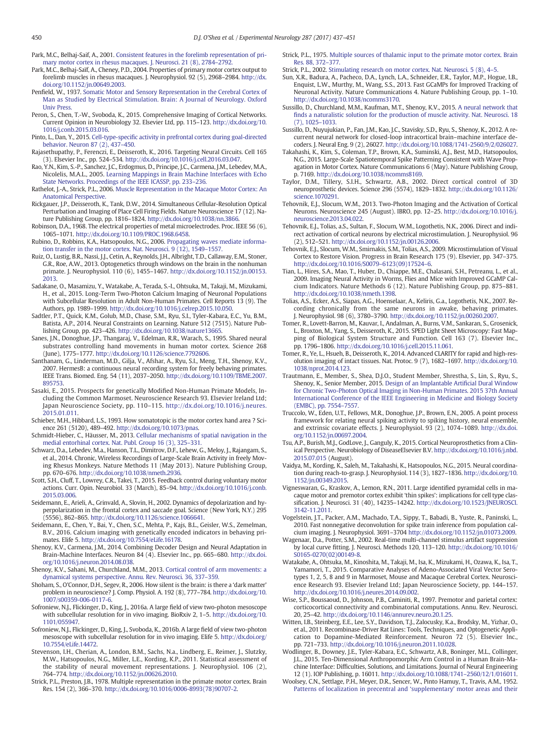<span id="page-13-0"></span>Park, M.C., Belhaj-Saif, A., 2001. [Consistent features in the forelimb representation of pri](http://refhub.elsevier.com/S0014-4886(16)30233-3/rf0620)[mary motor cortex in rhesus macaques. J. Neurosci. 21 \(8\), 2784](http://refhub.elsevier.com/S0014-4886(16)30233-3/rf0620)–2792.

- Park, M.C., Belhaj-Saïf, A., Cheney, P.D., 2004. Properties of primary motor cortex output to forelimb muscles in rhesus macaques. J. Neurophysiol. 92 (5), 2968–2984. http://dx. doi.org/[10.1152/jn.00649.2003.](http://dx.doi.org/10.1152/jn.00649.2003)
- Penfield, W., 1937. [Somatic Motor and Sensory Representation in the Cerebral Cortex of](http://refhub.elsevier.com/S0014-4886(16)30233-3/rf0630) [Man as Studied by Electrical Stimulation. Brain: A Journal of Neurology. Oxford](http://refhub.elsevier.com/S0014-4886(16)30233-3/rf0630) [Univ Press](http://refhub.elsevier.com/S0014-4886(16)30233-3/rf0630).
- Peron, S., Chen, T.-W., Svoboda, K., 2015. Comprehensive Imaging of Cortical Networks. Current Opinion in Neurobiology 32. Elsevier Ltd, pp. 115–123. http://dx.doi.org[/10.](http://dx.doi.org/10.1016/j.conb.2015.03.016) [1016/j.conb.2015.03.016](http://dx.doi.org/10.1016/j.conb.2015.03.016).
- Pinto, L., Dan, Y., 2015. Cell-type-specifi[c activity in prefrontal cortex during goal-directed](http://refhub.elsevier.com/S0014-4886(16)30233-3/rf0640) [behavior. Neuron 87 \(2\), 437](http://refhub.elsevier.com/S0014-4886(16)30233-3/rf0640)–450. Rajasethupathy, P., Ferenczi, E., Deisseroth, K., 2016. Targeting Neural Circuits. Cell 165
- (3). Elsevier Inc., pp. 524–534. http://dx.doi.org/[10.1016/j.cell.2016.03.047](http://dx.doi.org/10.1016/j.cell.2016.03.047).
- Rao, Y.N., Kim, S.-P., Sanchez, J.C., Erdogmus, D., Principe, J.C., Carmena, J.M., Lebedev, M.A., Nicolelis, M.A.L., 2005. [Learning Mappings in Brain Machine Interfaces with Echo](http://refhub.elsevier.com/S0014-4886(16)30233-3/rf0650) [State Networks. Proceedings of the IEEE ICASSP, pp. 233](http://refhub.elsevier.com/S0014-4886(16)30233-3/rf0650)–236.
- Rathelot, J.-A., Strick, P.L., 2006. [Muscle Representation in the Macaque Motor Cortex: An](http://refhub.elsevier.com/S0014-4886(16)30233-3/rf0655) [Anatomical Perspective.](http://refhub.elsevier.com/S0014-4886(16)30233-3/rf0655)
- Rickgauer, J.P., Deisseroth, K., Tank, D.W., 2014. Simultaneous Cellular-Resolution Optical Perturbation and Imaging of Place Cell Firing Fields. Nature Neuroscience 17 (12). Nature Publishing Group, pp. 1816–1824. http://dx.doi.org[/10.1038/nn.3866](http://dx.doi.org/10.1038/nn.3866).
- Robinson, D.A., 1968. The electrical properties of metal microelectrodes. Proc. IEEE 56 (6), 1065–1071. http://dx.doi.org/[10.1109/PROC.1968.6458](http://dx.doi.org/10.1109/PROC.1968.6458).
- Rubino, D., Robbins, K.A., Hatsopoulos, N.G., 2006. [Propagating waves mediate informa](http://refhub.elsevier.com/S0014-4886(16)30233-3/rf0670)[tion transfer in the motor cortex. Nat. Neurosci. 9 \(12\), 1549](http://refhub.elsevier.com/S0014-4886(16)30233-3/rf0670)–1557.
- Ruiz, O., Lustig, B.R., Nassi, J.J., Cetin, A., Reynolds, J.H., Albright, T.D., Callaway, E.M., Stoner, G.R., Roe, A.W., 2013. Optogenetics through windows on the brain in the nonhuman primate. J. Neurophysiol. 110 (6), 1455–1467. http://dx.doi.org[/10.1152/jn.00153.](http://dx.doi.org/10.1152/jn.00153.2013) [2013.](http://dx.doi.org/10.1152/jn.00153.2013)
- Sadakane, O., Masamizu, Y., Watakabe, A., Terada, S.-I., Ohtsuka, M., Takaji, M., Mizukami, H., et al., 2015. Long-Term Two-Photon Calcium Imaging of Neuronal Populations with Subcellular Resolution in Adult Non-Human Primates. Cell Reports 13 (9). The Authors, pp. 1989–1999. http://dx.doi.org[/10.1016/j.celrep.2015.10.050.](http://dx.doi.org/10.1016/j.celrep.2015.10.050)
- Sadtler, P.T., Quick, K.M., Golub, M.D., Chase, S.M., Ryu, S.I., Tyler-Kabara, E.C., Yu, B.M., Batista, A.P., 2014. Neural Constraints on Learning. Nature 512 (7515). Nature Publishing Group, pp. 423–426. http://dx.doi.org[/10.1038/nature13665](http://dx.doi.org/10.1038/nature13665).
- Sanes, J.N., Donoghue, J.P., Thangaraj, V., Edelman, R.R., Warach, S., 1995. Shared neural substrates controlling hand movements in human motor cortex. Science 268 (June), 1775–1777. http://dx.doi.org[/10.1126/science.7792606.](http://dx.doi.org/10.1126/science.7792606)
- Santhanam, G., Linderman, M.D., Gilja, V., Afshar, A., Ryu, S.I., Meng, T.H., Shenoy, K.V., 2007. HermesB: a continuous neural recording system for freely behaving primates. IEEE Trans. Biomed. Eng. 54 (11), 2037–2050. http://dx.doi.org[/10.1109/TBME.2007.](http://dx.doi.org/10.1109/TBME.2007.895753) [895753](http://dx.doi.org/10.1109/TBME.2007.895753).
- Sasaki, E., 2015. Prospects for genetically Modified Non-Human Primate Models, Including the Common Marmoset. Neuroscience Research 93. Elsevier Ireland Ltd; Japan Neuroscience Society, pp. 110–115. http://dx.doi.org[/10.1016/j.neures.](http://dx.doi.org/10.1016/j.neures.2015.01.011) [2015.01.011](http://dx.doi.org/10.1016/j.neures.2015.01.011).
- Schieber, M.H., Hibbard, L.S., 1993. How somatotopic is the motor cortex hand area ? Science 261 (5120), 489–492. http://dx.doi.org[/10.1073/pnas](http://dx.doi.org/10.1073/pnas).
- Schmidt-Hieber, C., Häusser, M., 2013. [Cellular mechanisms of spatial navigation in the](http://refhub.elsevier.com/S0014-4886(16)30233-3/rf0710) [medial entorhinal cortex. Nat. Publ. Group 16 \(3\), 325](http://refhub.elsevier.com/S0014-4886(16)30233-3/rf0710)–331.
- Schwarz, D.a., Lebedev, M.a., Hanson, T.L., Dimitrov, D.F., Lehew, G., Meloy, J., Rajangam, S., et al., 2014. Chronic, Wireless Recordings of Large-Scale Brain Activity in freely Moving Rhesus Monkeys. Nature Methods 11 (May 2013). Nature Publishing Group, pp. 670–676. http://dx.doi.org[/10.1038/nmeth.2936](http://dx.doi.org/10.1038/nmeth.2936).
- Scott, S.H., Cluff, T., Lowrey, C.R., Takei, T., 2015. Feedback control during voluntary motor actions. Curr. Opin. Neurobiol. 33 (March), 85–94. http://dx.doi.org[/10.1016/j.conb.](http://dx.doi.org/10.1016/j.conb.2015.03.006) [2015.03.006](http://dx.doi.org/10.1016/j.conb.2015.03.006).
- Seidemann, E., Arieli, A., Grinvald, A., Slovin, H., 2002. Dynamics of depolarization and hyperpolarization in the frontal cortex and saccade goal. Science (New York, N.Y.) 295 (5556), 862–865. http://dx.doi.org/[10.1126/science.1066641](http://dx.doi.org/10.1126/science.1066641).
- Seidemann, E., Chen, Y., Bai, Y., Chen, S.C., Mehta, P., Kajs, B.L., Geisler, W.S., Zemelman, B.V., 2016. Calcium imaging with genetically encoded indicators in behaving primates. Elife 5. http://dx.doi.org/[10.7554/eLife.16178.](http://dx.doi.org/10.7554/eLife.16178)
- Shenoy, K.V., Carmena, J.M., 2014. Combining Decoder Design and Neural Adaptation in Brain-Machine Interfaces. Neuron 84 (4). Elsevier Inc., pp. 665–680. http://dx.doi. org[/10.1016/j.neuron.2014.08.038.](http://dx.doi.org/10.1016/j.neuron.2014.08.038)
- Shenoy, K.V., Sahani, M., Churchland, M.M., 2013. [Cortical control of arm movements: a](http://refhub.elsevier.com/S0014-4886(16)30233-3/rf0735) [dynamical systems perspective. Annu. Rev. Neurosci. 36, 337](http://refhub.elsevier.com/S0014-4886(16)30233-3/rf0735)–359.
- Shoham, S., O'Connor, D.H., Segev, R., 2006. How silent is the brain: is there a 'dark matter' problem in neuroscience? J. Comp. Physiol. A. 192 (8), 777–784. http://dx.doi.org[/10.](http://dx.doi.org/10.1007/s00359-006-0117-6) [1007/s00359-006-0117-6.](http://dx.doi.org/10.1007/s00359-006-0117-6)
- Sofroniew, N.J., Flickinger, D., King, J., 2016a. A large field of view two-photon mesoscope with subcellular resolution for in vivo imaging. BioRxiv 2, 1–5. http://dx.doi.org[/10.](http://dx.doi.org/10.1101/055947) [1101/055947](http://dx.doi.org/10.1101/055947).
- Sofroniew, N.J., Flickinger, D., King, J., Svoboda, K., 2016b. A large field of view two-photon mesoscope with subcellular resolution for in vivo imaging. Elife 5. http://dx.doi.org/ [10.7554/eLife.14472.](http://dx.doi.org/10.7554/eLife.14472)
- Stevenson, I.H., Cherian, A., London, B.M., Sachs, N.a., Lindberg, E., Reimer, J., Slutzky, M.W., Hatsopoulos, N.G., Miller, L.E., Kording, K.P., 2011. Statistical assessment of the stability of neural movement representations. J. Neurophysiol. 106 (2), 764–774. http://dx.doi.org/[10.1152/jn.00626.2010.](http://dx.doi.org/10.1152/jn.00626.2010)
- Strick, P.L., Preston, J.B., 1978. Multiple representation in the primate motor cortex. Brain Res. 154 (2), 366–370. http://dx.doi.org[/10.1016/0006-8993\(78\)90707-2.](http://dx.doi.org/10.1016/0006-8993(78)90707-2)
- Strick, P.L., 1975. [Multiple sources of thalamic input to the primate motor cortex. Brain](http://refhub.elsevier.com/S0014-4886(16)30233-3/rf0760) [Res. 88, 372](http://refhub.elsevier.com/S0014-4886(16)30233-3/rf0760)–377.
- Strick, P.L., 2002. [Stimulating research on motor cortex. Nat. Neurosci. 5 \(8\), 4](http://refhub.elsevier.com/S0014-4886(16)30233-3/rf0765)–5.
- Sun, X.R., Badura, A., Pacheco, D.A., Lynch, L.A., Schneider, E.R., Taylor, M.P., Hogue, I.B., Enquist, L.W., Murthy, M., Wang, S.S., 2013. Fast GCaMPs for Improved Tracking of Neuronal Activity. Nature Communications 4. Nature Publishing Group, pp. 1–10. http://dx.doi.org[/10.1038/ncomms3170.](http://dx.doi.org/10.1038/ncomms3170)
- Sussillo, D., Churchland, M.M., Kaufman, M.T., Shenoy, K.V., 2015. [A neural network that](http://refhub.elsevier.com/S0014-4886(16)30233-3/rf0775) fi[nds a naturalistic solution for the production of muscle activity. Nat. Neurosci. 18](http://refhub.elsevier.com/S0014-4886(16)30233-3/rf0775) [\(7\), 1025](http://refhub.elsevier.com/S0014-4886(16)30233-3/rf0775)–1033.
- Sussillo, D., Nuyujukian, P., Fan, J.M., Kao, J.C., Stavisky, S.D., Ryu, S., Shenoy, K., 2012. A recurrent neural network for closed-loop intracortical brain–machine interface decoders. J. Neural Eng. 9 (2), 26027. http://dx.doi.org[/10.1088/1741-2560/9/2/026027](http://dx.doi.org/10.1088/1741-2560/9/2/026027).
- Takahashi, K., Kim, S., Coleman, T.P., Brown, K.A., Suminski, A.J., Best, M.D., Hatsopoulos, N.G., 2015. Large-Scale Spatiotemporal Spike Patterning Consistent with Wave Propagation in Motor Cortex. Nature Communications 6 (May). Nature Publishing Group, p. 7169. http://dx.doi.org/[10.1038/ncomms8169](http://dx.doi.org/10.1038/ncomms8169).
- Taylor, D.M., Tillery, S.I.H., Schwartz, A.B., 2002. Direct cortical control of 3D neuroprosthetic devices. Science 296 (5574), 1829–1832. http://dx.doi.org/[10.1126/](http://dx.doi.org/10.1126/science.1070291) [science.1070291](http://dx.doi.org/10.1126/science.1070291).
- Tehovnik, E.J., Slocum, W.M., 2013. Two-Photon Imaging and the Activation of Cortical Neurons. Neuroscience 245 (August). IBRO, pp. 12–25. http://dx.doi.org[/10.1016/j.](http://dx.doi.org/10.1016/j.neuroscience.2013.04.022) [neuroscience.2013.04.022.](http://dx.doi.org/10.1016/j.neuroscience.2013.04.022)
- Tehovnik, E.J., Tolias, a.S., Sultan, F., Slocum, W.M., Logothetis, N.K., 2006. Direct and indirect activation of cortical neurons by electrical microstimulation. J. Neurophysiol. 96 (2), 512–521. http://dx.doi.org/[10.1152/jn.00126.2006](http://dx.doi.org/10.1152/jn.00126.2006).
- Tehovnik, E.J., Slocum, W.M., Smirnakis, S.M., Tolias, A.S., 2009. Microstimulation of Visual Cortex to Restore Vision. Progress in Brain Research 175 (9). Elsevier, pp. 347–375. http://dx.doi.org/10.1016/S0079–[6123\(09\)17524](http://dx.doi.org/10.1016/S00796123(09)175246)–6.
- Tian, L., Hires, S.A., Mao, T., Huber, D., Chiappe, M.E., Chalasani, S.H., Petreanu, L., et al., 2009. Imaging Neural Activity in Worms, Flies and Mice with Improved GCaMP Calcium Indicators. Nature Methods 6 (12). Nature Publishing Group, pp. 875–881. http://dx.doi.org[/10.1038/nmeth.1398.](http://dx.doi.org/10.1038/nmeth.1398)
- Tolias, A.S., Ecker, A.S., Siapas, A.G., Hoenselaar, A., Keliris, G.a., Logothetis, N.K., 2007. Recording chronically from the same neurons in awake, behaving primates. J. Neurophysiol. 98 (6), 3780–3790. http://dx.doi.org[/10.1152/jn.00260.2007.](http://dx.doi.org/10.1152/jn.00260.2007)
- Tomer, R., Lovett-Barron, M., Kauvar, I., Andalman, A., Burns, V.M., Sankaran, S., Grosenick, L., Broxton, M., Yang, S., Deisseroth, K., 2015. SPED Light Sheet Microscopy: Fast Mapping of Biological System Structure and Function. Cell 163 (7). Elsevier Inc., pp. 1796–1806. http://dx.doi.org[/10.1016/j.cell.2015.11.061](http://dx.doi.org/10.1016/j.cell.2015.11.061).
- Tomer, R., Ye, L., Hsueh, B., Deisseroth, K., 2014. Advanced CLARITY for rapid and high-resolution imaging of intact tissues. Nat. Protoc. 9 (7), 1682–1697. http://dx.doi.org[/10.](http://dx.doi.org/10.1038/nprot.2014.123) [1038/nprot.2014.123](http://dx.doi.org/10.1038/nprot.2014.123).
- Trautmann, E., Member, S., Shea, D.J.O., Student Member, Shrestha, S., Lin, S., Ryu, S., Shenoy, K., Senior Member, 2015. [Design of an Implantable Arti](http://refhub.elsevier.com/S0014-4886(16)30233-3/rf0830)ficial Dural Window [for Chronic Two-Photon Optical Imaging in Non-Human Primates. 2015 37th Annual](http://refhub.elsevier.com/S0014-4886(16)30233-3/rf0830) [International Conference of the IEEE Engineering in Medicine and Biology Society](http://refhub.elsevier.com/S0014-4886(16)30233-3/rf0830) [\(EMBC\), pp. 7554](http://refhub.elsevier.com/S0014-4886(16)30233-3/rf0830)–7557.
- Truccolo, W., Eden, U.T., Fellows, M.R., Donoghue, J.P., Brown, E.N., 2005. A point process framework for relating neural spiking activity to spiking history, neural ensemble, and extrinsic covariate effects. J. Neurophysiol. 93 (2), 1074–1089. http://dx.doi. org[/10.1152/jn.00697.2004](http://dx.doi.org/10.1152/jn.00697.2004).
- Tsu, A.P., Burish, M.J., GodLove, J., Ganguly, K., 2015. Cortical Neuroprosthetics from a Clinical Perspective. Neurobiology of DiseaseElsevier B.V. http://dx.doi.org[/10.1016/j.nbd.](http://dx.doi.org/10.1016/j.nbd.2015.07.015) [2015.07.015](http://dx.doi.org/10.1016/j.nbd.2015.07.015) (August).
- Vaidya, M., Kording, K., Saleh, M., Takahashi, K., Hatsopoulos, N.G., 2015. Neural coordination during reach-to-grasp. J. Neurophysiol. 114 (3), 1827–1836. http://dx.doi.org[/10.](http://dx.doi.org/10.1152/jn.00349.2015) [1152/jn.00349.2015](http://dx.doi.org/10.1152/jn.00349.2015).
- Vigneswaran, G., Kraskov, A., Lemon, R.N., 2011. Large identified pyramidal cells in macaque motor and premotor cortex exhibit 'thin spikes': implications for cell type classification. J. Neurosci. 31 (40), 14235–14242. http://dx.doi.org[/10.1523/JNEUROSCI.](http://dx.doi.org/10.1523/JNEUROSCI.3142-11.2011) [3142-11.2011](http://dx.doi.org/10.1523/JNEUROSCI.3142-11.2011).
- Vogelstein, J.T., Packer, A.M., Machado, T.A., Sippy, T., Babadi, B., Yuste, R., Paninski, L., 2010. Fast nonnegative deconvolution for spike train inference from population calcium imaging. J. Neurophysiol. 3691–3704 http://dx.doi.org[/10.1152/jn.01073.2009](http://dx.doi.org/10.1152/jn.01073.2009).
- Wagenaar, D.a., Potter, S.M., 2002. Real-time multi-channel stimulus artifact suppression by local curve fitting. J. Neurosci. Methods 120, 113–120. http://dx.doi.org/[10.1016/](http://dx.doi.org/10.1016/S0165-0270(02)00149-8) [S0165-0270\(02\)00149-8](http://dx.doi.org/10.1016/S0165-0270(02)00149-8).
- Watakabe, A., Ohtsuka, M., Kinoshita, M., Takaji, M., Isa, K., Mizukami, H., Ozawa, K., Isa, T., Yamamori, T., 2015. Comparative Analyses of Adeno-Associated Viral Vector Serotypes 1, 2, 5, 8 and 9 in Marmoset, Mouse and Macaque Cerebral Cortex. Neuroscience Research 93. Elsevier Ireland Ltd; Japan Neuroscience Society, pp. 144–157. http://dx.doi.org[/10.1016/j.neures.2014.09.002.](http://dx.doi.org/10.1016/j.neures.2014.09.002)
- Wise, S.P., Boussaoud, D., Johnson, P.B., Caminiti, R., 1997. Premotor and parietal cortex: corticocortical connectivity and combinatorial computations. Annu. Rev. Neurosci. 20, 25–42. http://dx.doi.org/[10.1146/annurev.neuro.20.1.25](http://dx.doi.org/10.1146/annurev.neuro.20.1.25).
- Witten, I.B., Steinberg, E.E., Lee, S.Y., Davidson, T.J., Zalocusky, K.a., Brodsky, M., Yizhar, O., et al., 2011. Recombinase-Driver Rat Lines: Tools, Techniques, and Optogenetic Application to Dopamine-Mediated Reinforcement. Neuron 72 (5). Elsevier Inc., pp. 721–733. http://dx.doi.org[/10.1016/j.neuron.2011.10.028.](http://dx.doi.org/10.1016/j.neuron.2011.10.028)
- Wodlinger, B., Downey, J.E., Tyler-Kabara, E.C., Schwartz, A.B., Boninger, M.L., Collinger, J.L., 2015. Ten-Dimensional Anthropomorphic Arm Control in a Human Brain-Machine Interface: Difficulties, Solutions, and Limitations. Journal of Neural Engineering 12 (1). IOP Publishing, p. 16011. http://dx.doi.org/10.1088/1741–[2560/12/1/016011](http://dx.doi.org/10.1088/17412560/12/1/016011).
- Woolsey, C.N., Settlage, P.H., Meyer, D.R., Sencer, W., Pinto Hamuy, T., Travis, A.M., 1952. [Patterns of localization in precentral and](http://refhub.elsevier.com/S0014-4886(16)30233-3/rf0885) 'supplementary' motor areas and their